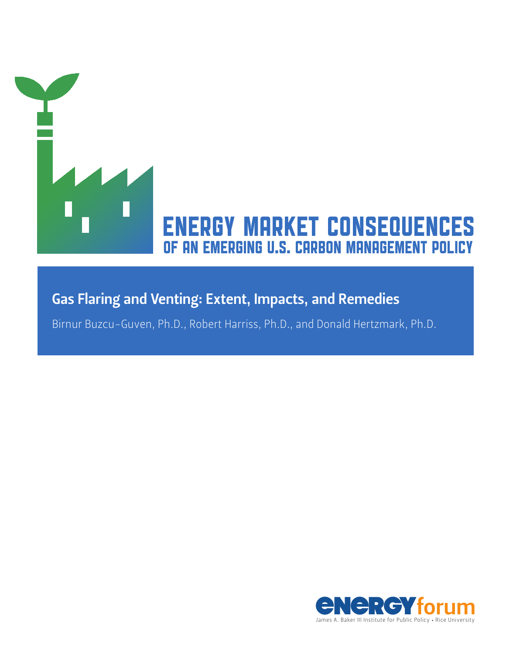

Birnur Buzcu-Guven, Ph.D., Robert Harriss, Ph.D., and Donald Hertzmark, Ph.D.

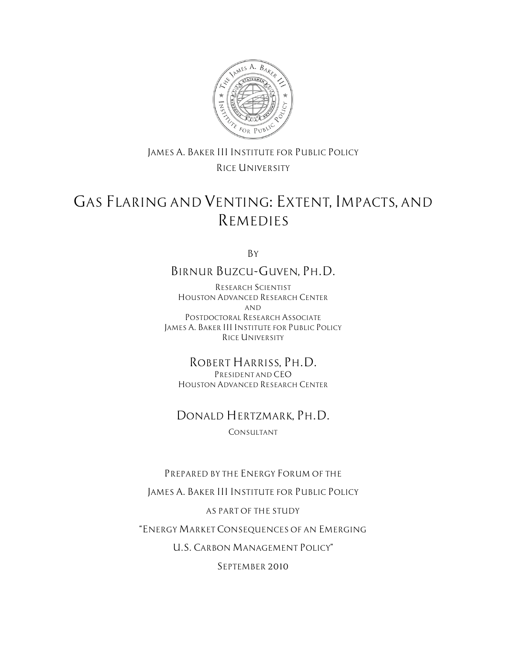

### *JAMES A. BAKER III INSTITUTE FOR PUBLIC POLICY RICE UNIVERSITY*

# *GAS FLARING AND VENTING: EXTENT, IMPACTS, AND REMEDIES*

*By* 

### *BIRNUR BUZCU-GUVEN, PH.D.*

*RESEARCH SCIENTIST HOUSTON ADVANCED RESEARCH CENTER AND POSTDOCTORAL RESEARCH ASSOCIATE JAMES A. BAKER III INSTITUTE FOR PUBLIC POLICY RICE UNIVERSITY*

#### *ROBERT HARRISS, PH.D. PRESIDENT AND CEO*

*HOUSTON ADVANCED RESEARCH CENTER*

### *DONALD HERTZMARK, PH.D.*

*CONSULTANT*

### *PREPARED BY THE ENERGY FORUM OF THE*

*JAMES A. BAKER III INSTITUTE FOR PUBLIC POLICY* 

### *AS PART OF THE STUDY*

*"ENERGY MARKET CONSEQUENCES OF AN EMERGING* 

*U.S. CARBON MANAGEMENT POLICY"* 

*SEPTEMBER 2010*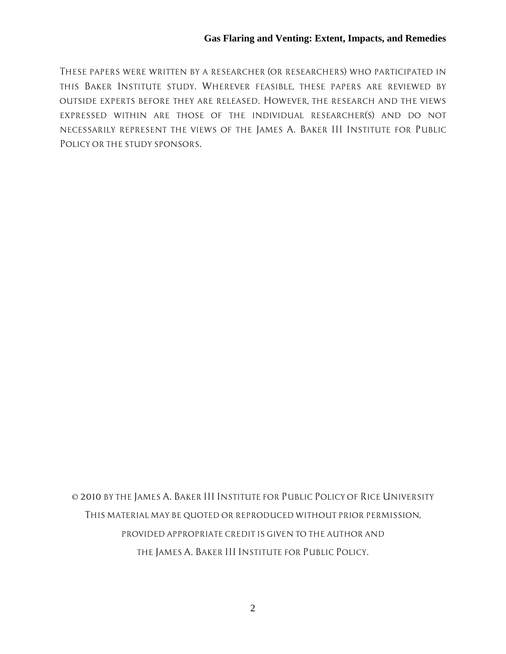*THESE PAPERS WERE WRITTEN BY A RESEARCHER (OR RESEARCHERS) WHO PARTICIPATED IN THIS BAKER INSTITUTE STUDY. WHEREVER FEASIBLE, THESE PAPERS ARE REVIEWED BY OUTSIDE EXPERTS BEFORE THEY ARE RELEASED. HOWEVER, THE RESEARCH AND THE VIEWS*  EXPRESSED WITHIN ARE THOSE OF THE INDIVIDUAL RESEARCHER(S) AND DO NOT *NECESSARILY REPRESENT THE VIEWS OF THE JAMES A. BAKER III INSTITUTE FOR PUBLIC POLICY OR THE STUDY SPONSORS.* 

*© 2010 BY THE JAMES A. BAKER III INSTITUTE FOR PUBLIC POLICY OF RICE UNIVERSITY THIS MATERIAL MAY BE QUOTED OR REPRODUCED WITHOUT PRIOR PERMISSION, PROVIDED APPROPRIATE CREDIT IS GIVEN TO THE AUTHOR AND THE JAMES A. BAKER III INSTITUTE FOR PUBLIC POLICY.*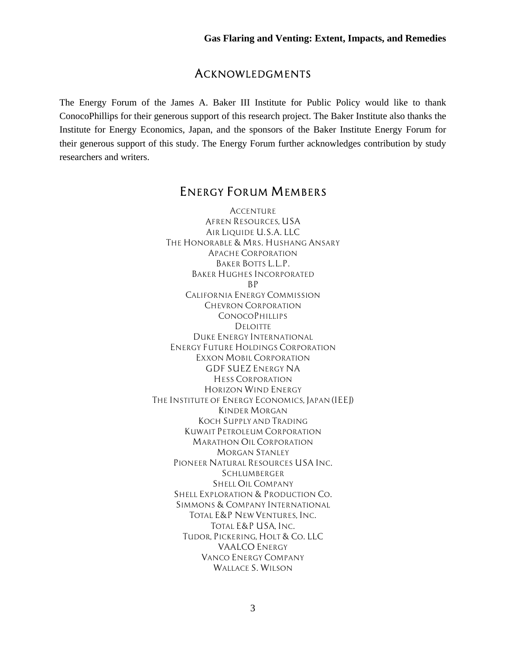### *ACKNOWLEDGMENTS*

The Energy Forum of the James A. Baker III Institute for Public Policy would like to thank ConocoPhillips for their generous support of this research project. The Baker Institute also thanks the Institute for Energy Economics, Japan, and the sponsors of the Baker Institute Energy Forum for their generous support of this study. The Energy Forum further acknowledges contribution by study researchers and writers.

### *ENERGY FORUM MEMBERS*

*ACCENTURE AFREN RESOURCES, USA AIR LIQUIDE U.S.A. LLC THE HONORABLE & MRS. HUSHANG ANSARY APACHE CORPORATION BAKER BOTTS L.L.P. BAKER HUGHES INCORPORATED BP CALIFORNIA ENERGY COMMISSION CHEVRON CORPORATION CONOCOPHILLIPS DELOITTE DUKE ENERGY INTERNATIONAL ENERGY FUTURE HOLDINGS CORPORATION EXXON MOBIL CORPORATION GDF SUEZ ENERGY NA HESS CORPORATION HORIZON WIND ENERGY THE INSTITUTE OF ENERGY ECONOMICS, JAPAN (IEEJ) KINDER MORGAN KOCH SUPPLY AND TRADING KUWAIT PETROLEUM CORPORATION MARATHON OIL CORPORATION MORGAN STANLEY PIONEER NATURAL RESOURCES USA INC. SCHLUMBERGER SHELL OIL COMPANY SHELL EXPLORATION & PRODUCTION CO. SIMMONS & COMPANY INTERNATIONAL TOTAL E&P NEW VENTURES, INC. TOTAL E&P USA, INC. TUDOR, PICKERING, HOLT & CO. LLC VAALCO ENERGY VANCO ENERGY COMPANY WALLACE S. WILSON*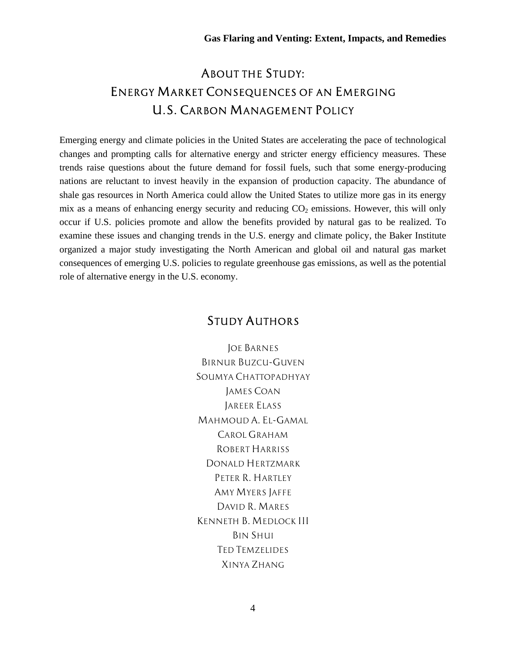## *ABOUT THE STUDY: ENERGY MARKET CONSEQUENCES OF AN EMERGING U.S. CARBON MANAGEMENT POLICY*

Emerging energy and climate policies in the United States are accelerating the pace of technological changes and prompting calls for alternative energy and stricter energy efficiency measures. These trends raise questions about the future demand for fossil fuels, such that some energy-producing nations are reluctant to invest heavily in the expansion of production capacity. The abundance of shale gas resources in North America could allow the United States to utilize more gas in its energy mix as a means of enhancing energy security and reducing  $CO<sub>2</sub>$  emissions. However, this will only occur if U.S. policies promote and allow the benefits provided by natural gas to be realized. To examine these issues and changing trends in the U.S. energy and climate policy, the Baker Institute organized a major study investigating the North American and global oil and natural gas market consequences of emerging U.S. policies to regulate greenhouse gas emissions, as well as the potential role of alternative energy in the U.S. economy.

### *STUDY AUTHORS*

*JOE BARNES BIRNUR BUZCU-GUVEN SOUMYA CHATTOPADHYAY JAMES COAN JAREER ELASS MAHMOUD A. EL-GAMAL CAROL GRAHAM ROBERT HARRISS DONALD HERTZMARK PETER R. HARTLEY AMY MYERS JAFFE DAVID R. MARES KENNETH B. MEDLOCK III BIN SHUI TED TEMZELIDES XINYA ZHANG*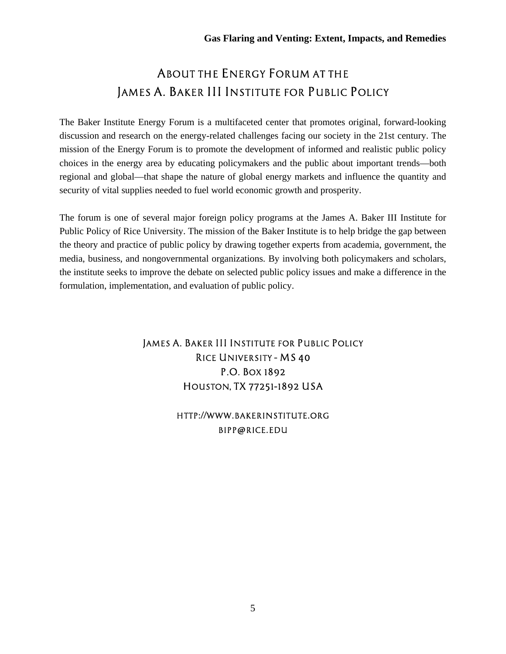## *ABOUT THE ENERGY FORUM AT THE JAMES A. BAKER III INSTITUTE FOR PUBLIC POLICY*

The Baker Institute Energy Forum is a multifaceted center that promotes original, forward-looking discussion and research on the energy-related challenges facing our society in the 21st century. The mission of the Energy Forum is to promote the development of informed and realistic public policy choices in the energy area by educating policymakers and the public about important trends—both regional and global—that shape the nature of global energy markets and influence the quantity and security of vital supplies needed to fuel world economic growth and prosperity.

The forum is one of several major foreign policy programs at the James A. Baker III Institute for Public Policy of Rice University. The mission of the Baker Institute is to help bridge the gap between the theory and practice of public policy by drawing together experts from academia, government, the media, business, and nongovernmental organizations. By involving both policymakers and scholars, the institute seeks to improve the debate on selected public policy issues and make a difference in the formulation, implementation, and evaluation of public policy.

### *JAMES A. BAKER III INSTITUTE FOR PUBLIC POLICY RICE UNIVERSITY – MS 40 P.O. BOX 1892 HOUSTON, TX 77251–1892 USA*

### *HTTP://WWW.BAKERINSTITUTE.ORG BIPP@RICE.EDU*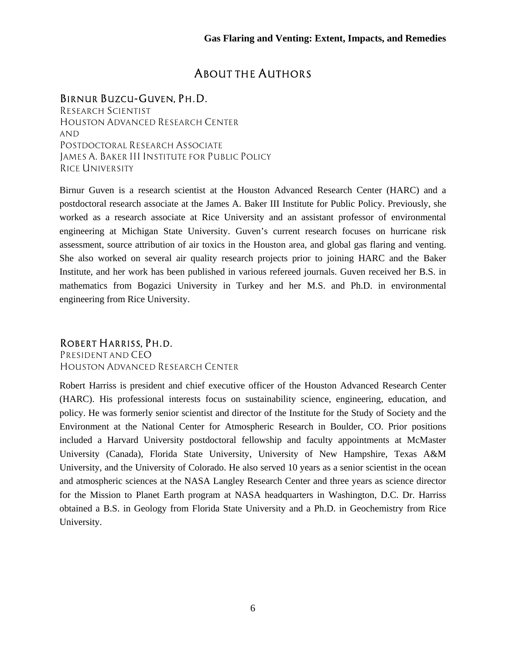### *ABOUT THE AUTHORS*

### *BIRNUR BUZCU-GUVEN, PH.D.*

*RESEARCH SCIENTIST HOUSTON ADVANCED RESEARCH CENTER AND POSTDOCTORAL RESEARCH ASSOCIATE JAMES A. BAKER III INSTITUTE FOR PUBLIC POLICY RICE UNIVERSITY* 

Birnur Guven is a research scientist at the Houston Advanced Research Center (HARC) and a postdoctoral research associate at the James A. Baker III Institute for Public Policy. Previously, she worked as a research associate at Rice University and an assistant professor of environmental engineering at Michigan State University. Guven's current research focuses on hurricane risk assessment, source attribution of air toxics in the Houston area, and global gas flaring and venting. She also worked on several air quality research projects prior to joining HARC and the Baker Institute, and her work has been published in various refereed journals. Guven received her B.S. in mathematics from Bogazici University in Turkey and her M.S. and Ph.D. in environmental engineering from Rice University.

#### *ROBERT HARRISS, PH.D.*

*PRESIDENT AND CEO HOUSTON ADVANCED RESEARCH CENTER*

Robert Harriss is president and chief executive officer of the Houston Advanced Research Center (HARC). His professional interests focus on sustainability science, engineering, education, and policy. He was formerly senior scientist and director of the Institute for the Study of Society and the Environment at the National Center for Atmospheric Research in Boulder, CO. Prior positions included a Harvard University postdoctoral fellowship and faculty appointments at McMaster University (Canada), Florida State University, University of New Hampshire, Texas A&M University, and the University of Colorado. He also served 10 years as a senior scientist in the ocean and atmospheric sciences at the NASA Langley Research Center and three years as science director for the Mission to Planet Earth program at NASA headquarters in Washington, D.C. Dr. Harriss obtained a B.S. in Geology from Florida State University and a Ph.D. in Geochemistry from Rice University.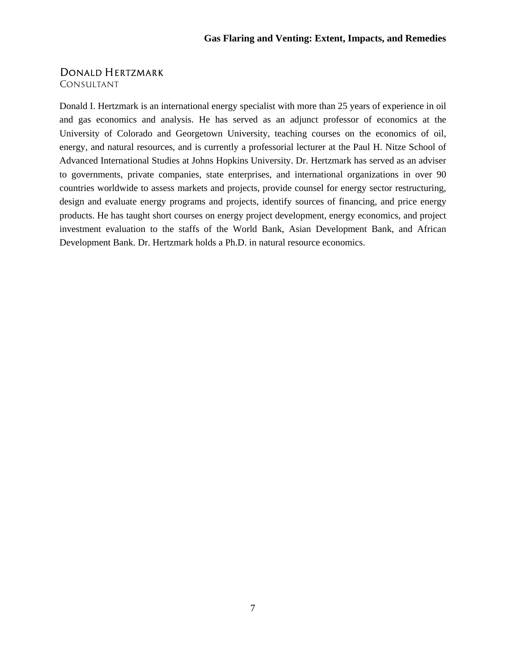### *DONALD HERTZMARK*

*CONSULTANT*

Donald I. Hertzmark is an international energy specialist with more than 25 years of experience in oil and gas economics and analysis. He has served as an adjunct professor of economics at the University of Colorado and Georgetown University, teaching courses on the economics of oil, energy, and natural resources, and is currently a professorial lecturer at the Paul H. Nitze School of Advanced International Studies at Johns Hopkins University. Dr. Hertzmark has served as an adviser to governments, private companies, state enterprises, and international organizations in over 90 countries worldwide to assess markets and projects, provide counsel for energy sector restructuring, design and evaluate energy programs and projects, identify sources of financing, and price energy products. He has taught short courses on energy project development, energy economics, and project investment evaluation to the staffs of the World Bank, Asian Development Bank, and African Development Bank. Dr. Hertzmark holds a Ph.D. in natural resource economics.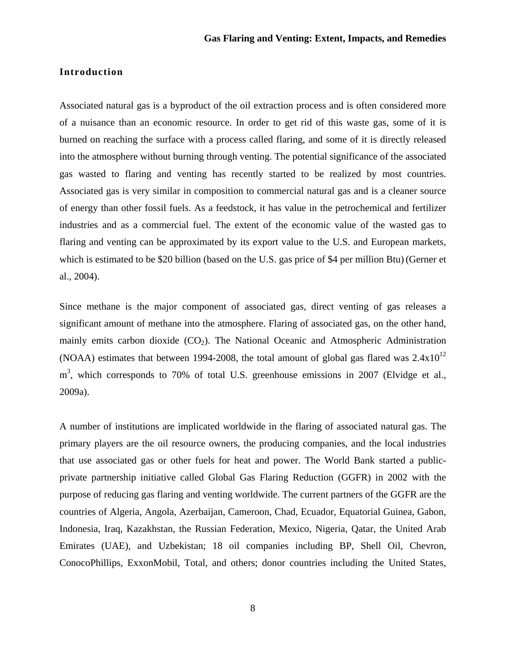#### **Introduction**

Associated natural gas is a byproduct of the oil extraction process and is often considered more of a nuisance than an economic resource. In order to get rid of this waste gas, some of it is burned on reaching the surface with a process called flaring, and some of it is directly released into the atmosphere without burning through venting. The potential significance of the associated gas wasted to flaring and venting has recently started to be realized by most countries. Associated gas is very similar in composition to commercial natural gas and is a cleaner source of energy than other fossil fuels. As a feedstock, it has value in the petrochemical and fertilizer industries and as a commercial fuel. The extent of the economic value of the wasted gas to flaring and venting can be approximated by its export value to the U.S. and European markets, which is estimated to be \$20 billion (based on the U.S. gas price of \$4 per million Btu) (Gerner et al., 2004).

Since methane is the major component of associated gas, direct venting of gas releases a significant amount of methane into the atmosphere. Flaring of associated gas, on the other hand, mainly emits carbon dioxide  $(CO_2)$ . The National Oceanic and Atmospheric Administration (NOAA) estimates that between 1994-2008, the total amount of global gas flared was  $2.4x10^{12}$  $m<sup>3</sup>$ , which corresponds to 70% of total U.S. greenhouse emissions in 2007 (Elvidge et al., 2009a).

A number of institutions are implicated worldwide in the flaring of associated natural gas. The primary players are the oil resource owners, the producing companies, and the local industries that use associated gas or other fuels for heat and power. The World Bank started a publicprivate partnership initiative called Global Gas Flaring Reduction (GGFR) in 2002 with the purpose of reducing gas flaring and venting worldwide. The current partners of the GGFR are the countries of Algeria, Angola, Azerbaijan, Cameroon, Chad, Ecuador, Equatorial Guinea, Gabon, Indonesia, Iraq, Kazakhstan, the Russian Federation, Mexico, Nigeria, Qatar, the United Arab Emirates (UAE), and Uzbekistan; 18 oil companies including BP, Shell Oil, Chevron, ConocoPhillips, ExxonMobil, Total, and others; donor countries including the United States,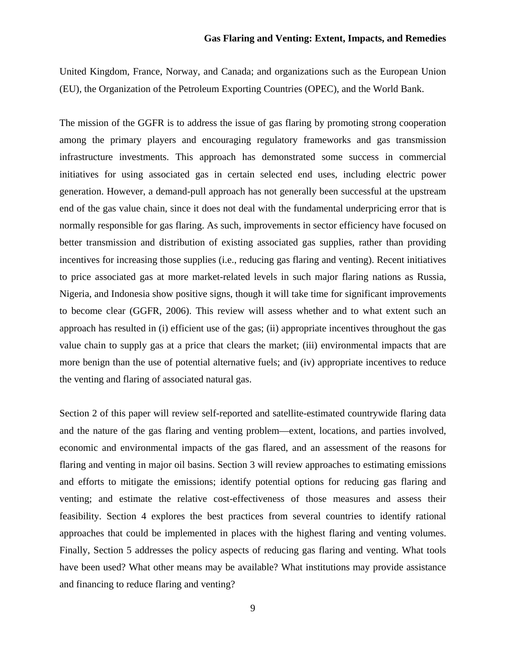United Kingdom, France, Norway, and Canada; and organizations such as the European Union (EU), the Organization of the Petroleum Exporting Countries (OPEC), and the World Bank.

The mission of the GGFR is to address the issue of gas flaring by promoting strong cooperation among the primary players and encouraging regulatory frameworks and gas transmission infrastructure investments. This approach has demonstrated some success in commercial initiatives for using associated gas in certain selected end uses, including electric power generation. However, a demand-pull approach has not generally been successful at the upstream end of the gas value chain, since it does not deal with the fundamental underpricing error that is normally responsible for gas flaring. As such, improvements in sector efficiency have focused on better transmission and distribution of existing associated gas supplies, rather than providing incentives for increasing those supplies (i.e., reducing gas flaring and venting). Recent initiatives to price associated gas at more market-related levels in such major flaring nations as Russia, Nigeria, and Indonesia show positive signs, though it will take time for significant improvements to become clear (GGFR, 2006). This review will assess whether and to what extent such an approach has resulted in (i) efficient use of the gas; (ii) appropriate incentives throughout the gas value chain to supply gas at a price that clears the market; (iii) environmental impacts that are more benign than the use of potential alternative fuels; and (iv) appropriate incentives to reduce the venting and flaring of associated natural gas.

Section 2 of this paper will review self-reported and satellite-estimated countrywide flaring data and the nature of the gas flaring and venting problem—extent, locations, and parties involved, economic and environmental impacts of the gas flared, and an assessment of the reasons for flaring and venting in major oil basins. Section 3 will review approaches to estimating emissions and efforts to mitigate the emissions; identify potential options for reducing gas flaring and venting; and estimate the relative cost-effectiveness of those measures and assess their feasibility. Section 4 explores the best practices from several countries to identify rational approaches that could be implemented in places with the highest flaring and venting volumes. Finally, Section 5 addresses the policy aspects of reducing gas flaring and venting. What tools have been used? What other means may be available? What institutions may provide assistance and financing to reduce flaring and venting?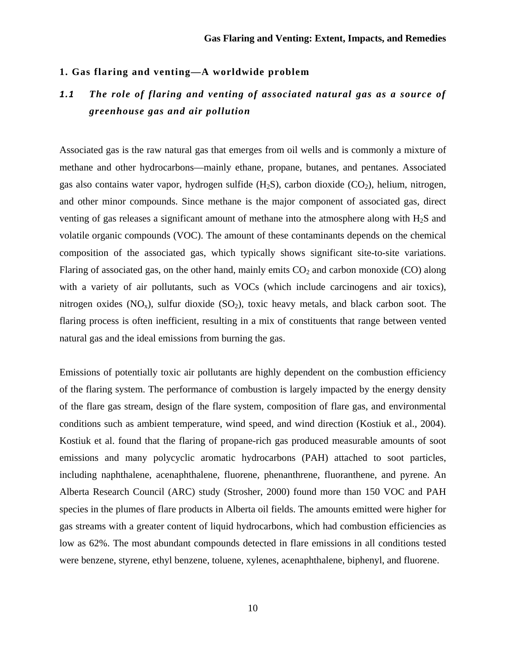#### **1. Gas flaring and venting—A worldwide problem**

### *1.1 The role of flaring and venting of associated natural gas as a source of greenhouse gas and air pollution*

Associated gas is the raw natural gas that emerges from oil wells and is commonly a mixture of methane and other hydrocarbons—mainly ethane, propane, butanes, and pentanes. Associated gas also contains water vapor, hydrogen sulfide  $(H_2S)$ , carbon dioxide  $(CO_2)$ , helium, nitrogen, and other minor compounds. Since methane is the major component of associated gas, direct venting of gas releases a significant amount of methane into the atmosphere along with  $H_2S$  and volatile organic compounds (VOC). The amount of these contaminants depends on the chemical composition of the associated gas, which typically shows significant site-to-site variations. Flaring of associated gas, on the other hand, mainly emits  $CO<sub>2</sub>$  and carbon monoxide (CO) along with a variety of air pollutants, such as VOCs (which include carcinogens and air toxics), nitrogen oxides  $(NO_x)$ , sulfur dioxide  $(SO_2)$ , toxic heavy metals, and black carbon soot. The flaring process is often inefficient, resulting in a mix of constituents that range between vented natural gas and the ideal emissions from burning the gas.

Emissions of potentially toxic air pollutants are highly dependent on the combustion efficiency of the flaring system. The performance of combustion is largely impacted by the energy density of the flare gas stream, design of the flare system, composition of flare gas, and environmental conditions such as ambient temperature, wind speed, and wind direction (Kostiuk et al., 2004). Kostiuk et al. found that the flaring of propane-rich gas produced measurable amounts of soot emissions and many polycyclic aromatic hydrocarbons (PAH) attached to soot particles, including naphthalene, acenaphthalene, fluorene, phenanthrene, fluoranthene, and pyrene. An Alberta Research Council (ARC) study (Strosher, 2000) found more than 150 VOC and PAH species in the plumes of flare products in Alberta oil fields. The amounts emitted were higher for gas streams with a greater content of liquid hydrocarbons, which had combustion efficiencies as low as 62%. The most abundant compounds detected in flare emissions in all conditions tested were benzene, styrene, ethyl benzene, toluene, xylenes, acenaphthalene, biphenyl, and fluorene.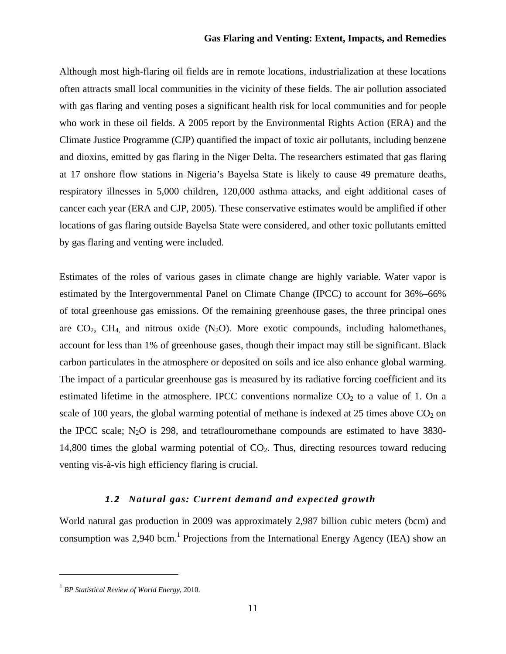Although most high-flaring oil fields are in remote locations, industrialization at these locations often attracts small local communities in the vicinity of these fields. The air pollution associated with gas flaring and venting poses a significant health risk for local communities and for people who work in these oil fields. A 2005 report by the Environmental Rights Action (ERA) and the Climate Justice Programme (CJP) quantified the impact of toxic air pollutants, including benzene and dioxins, emitted by gas flaring in the Niger Delta. The researchers estimated that gas flaring at 17 onshore flow stations in Nigeria's Bayelsa State is likely to cause 49 premature deaths, respiratory illnesses in 5,000 children, 120,000 asthma attacks, and eight additional cases of cancer each year (ERA and CJP, 2005). These conservative estimates would be amplified if other locations of gas flaring outside Bayelsa State were considered, and other toxic pollutants emitted by gas flaring and venting were included.

Estimates of the roles of various gases in climate change are highly variable. Water vapor is estimated by the Intergovernmental Panel on Climate Change (IPCC) to account for 36%–66% of total greenhouse gas emissions. Of the remaining greenhouse gases, the three principal ones are  $CO<sub>2</sub>$ ,  $CH<sub>4</sub>$ , and nitrous oxide (N<sub>2</sub>O). More exotic compounds, including halomethanes, account for less than 1% of greenhouse gases, though their impact may still be significant. Black carbon particulates in the atmosphere or deposited on soils and ice also enhance global warming. The impact of a particular greenhouse gas is measured by its radiative forcing coefficient and its estimated lifetime in the atmosphere. IPCC conventions normalize  $CO<sub>2</sub>$  to a value of 1. On a scale of 100 years, the global warming potential of methane is indexed at 25 times above  $CO<sub>2</sub>$  on the IPCC scale;  $N_2O$  is 298, and tetraflouromethane compounds are estimated to have 3830-14,800 times the global warming potential of  $CO<sub>2</sub>$ . Thus, directing resources toward reducing venting vis-à-vis high efficiency flaring is crucial.

#### *1.2 Natural gas: Current demand and expected growth*

World natural gas production in 2009 was approximately 2,987 billion cubic meters (bcm) and consumption was 2,940 bcm.<sup>1</sup> Projections from the International Energy Agency (IEA) show an

<sup>1</sup> *BP Statistical Review of World Energy*, 2010.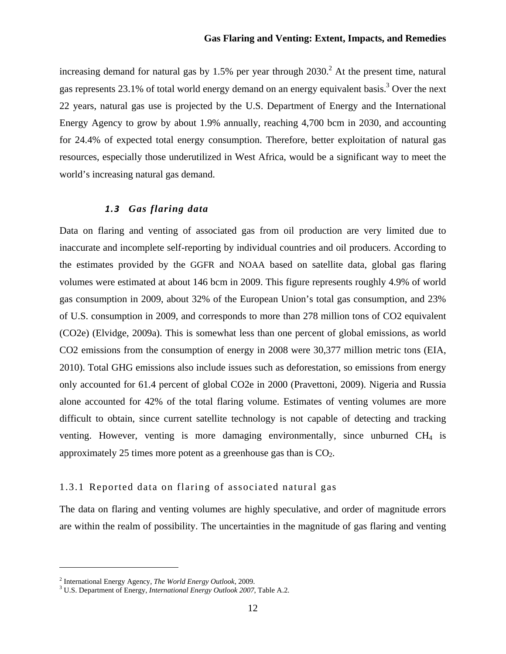increasing demand for natural gas by 1.5% per year through  $2030$ .<sup>2</sup> At the present time, natural gas represents 23.1% of total world energy demand on an energy equivalent basis.<sup>3</sup> Over the next 22 years, natural gas use is projected by the U.S. Department of Energy and the International Energy Agency to grow by about 1.9% annually, reaching 4,700 bcm in 2030, and accounting for 24.4% of expected total energy consumption. Therefore, better exploitation of natural gas resources, especially those underutilized in West Africa, would be a significant way to meet the world's increasing natural gas demand.

#### *1.3 Gas flaring data*

Data on flaring and venting of associated gas from oil production are very limited due to inaccurate and incomplete self-reporting by individual countries and oil producers. According to the estimates provided by the GGFR and NOAA based on satellite data, global gas flaring volumes were estimated at about 146 bcm in 2009. This figure represents roughly 4.9% of world gas consumption in 2009, about 32% of the European Union's total gas consumption, and 23% of U.S. consumption in 2009, and corresponds to more than 278 million tons of CO2 equivalent (CO2e) (Elvidge, 2009a). This is somewhat less than one percent of global emissions, as world CO2 emissions from the consumption of energy in 2008 were 30,377 million metric tons (EIA, 2010). Total GHG emissions also include issues such as deforestation, so emissions from energy only accounted for 61.4 percent of global CO2e in 2000 (Pravettoni, 2009). Nigeria and Russia alone accounted for 42% of the total flaring volume. Estimates of venting volumes are more difficult to obtain, since current satellite technology is not capable of detecting and tracking venting. However, venting is more damaging environmentally, since unburned CH<sub>4</sub> is approximately 25 times more potent as a greenhouse gas than is  $CO<sub>2</sub>$ .

#### 1.3.1 Reported data on flaring of associated natural gas

The data on flaring and venting volumes are highly speculative, and order of magnitude errors are within the realm of possibility. The uncertainties in the magnitude of gas flaring and venting

<sup>&</sup>lt;sup>2</sup> International Energy Agency, *The World Energy Outlook*, 2009.

U.S. Department of Energy, *International Energy Outlook 2007*, Table A.2.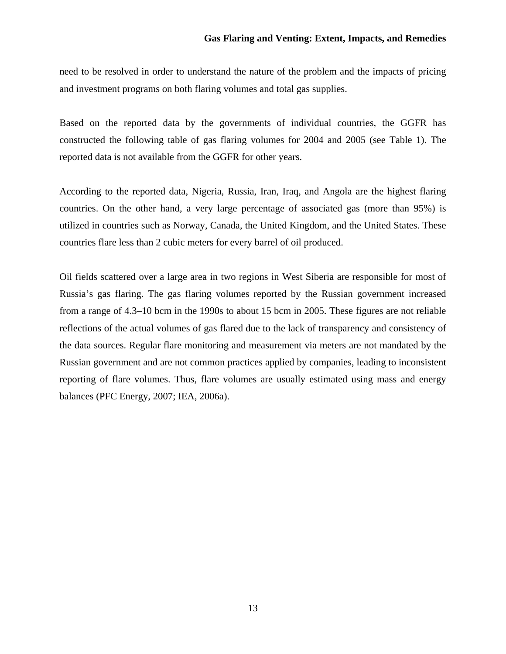need to be resolved in order to understand the nature of the problem and the impacts of pricing and investment programs on both flaring volumes and total gas supplies.

Based on the reported data by the governments of individual countries, the GGFR has constructed the following table of gas flaring volumes for 2004 and 2005 (see Table 1). The reported data is not available from the GGFR for other years.

According to the reported data, Nigeria, Russia, Iran, Iraq, and Angola are the highest flaring countries. On the other hand, a very large percentage of associated gas (more than 95%) is utilized in countries such as Norway, Canada, the United Kingdom, and the United States. These countries flare less than 2 cubic meters for every barrel of oil produced.

Oil fields scattered over a large area in two regions in West Siberia are responsible for most of Russia's gas flaring. The gas flaring volumes reported by the Russian government increased from a range of 4.3–10 bcm in the 1990s to about 15 bcm in 2005. These figures are not reliable reflections of the actual volumes of gas flared due to the lack of transparency and consistency of the data sources. Regular flare monitoring and measurement via meters are not mandated by the Russian government and are not common practices applied by companies, leading to inconsistent reporting of flare volumes. Thus, flare volumes are usually estimated using mass and energy balances (PFC Energy, 2007; IEA, 2006a).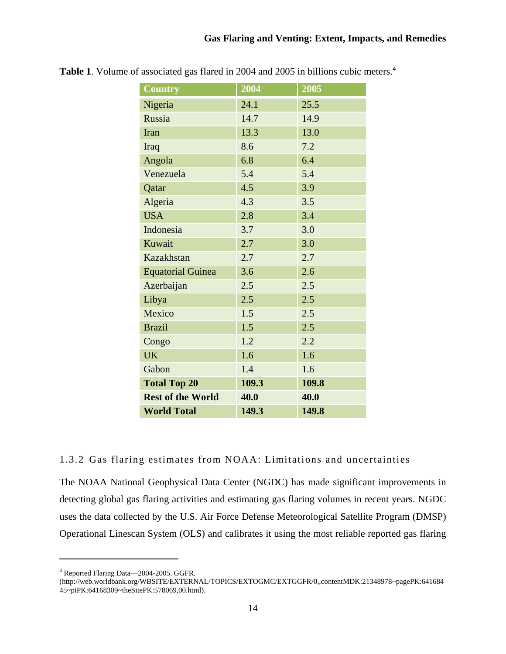| <b>Country</b>           | 2004  | 2005  |
|--------------------------|-------|-------|
| Nigeria                  | 24.1  | 25.5  |
| Russia                   | 14.7  | 14.9  |
| Iran                     | 13.3  | 13.0  |
| Iraq                     | 8.6   | 7.2   |
| Angola                   | 6.8   | 6.4   |
| Venezuela                | 5.4   | 5.4   |
| Qatar                    | 4.5   | 3.9   |
| Algeria                  | 4.3   | 3.5   |
| <b>USA</b>               | 2.8   | 3.4   |
| Indonesia                | 3.7   | 3.0   |
| Kuwait                   | 2.7   | 3.0   |
| Kazakhstan               | 2.7   | 2.7   |
| <b>Equatorial Guinea</b> | 3.6   | 2.6   |
| Azerbaijan               | 2.5   | 2.5   |
| Libya                    | 2.5   | 2.5   |
| Mexico                   | 1.5   | 2.5   |
| <b>Brazil</b>            | 1.5   | 2.5   |
| Congo                    | 1.2   | 2.2   |
| <b>UK</b>                | 1.6   | 1.6   |
| Gabon                    | 1.4   | 1.6   |
| <b>Total Top 20</b>      | 109.3 | 109.8 |
| <b>Rest of the World</b> | 40.0  | 40.0  |
| <b>World Total</b>       | 149.3 | 149.8 |

**Table 1**. Volume of associated gas flared in 2004 and 2005 in billions cubic meters.<sup>4</sup>

#### 1.3.2 Gas flaring estimates from NOAA: Limitations and uncertainties

The NOAA National Geophysical Data Center (NGDC) has made significant improvements in detecting global gas flaring activities and estimating gas flaring volumes in recent years. NGDC uses the data collected by the U.S. Air Force Defense Meteorological Satellite Program (DMSP) Operational Linescan System (OLS) and calibrates it using the most reliable reported gas flaring

<sup>4</sup> Reported Flaring Data—2004-2005. GGFR.

<sup>(</sup>http://web.worldbank.org/WBSITE/EXTERNAL/TOPICS/EXTOGMC/EXTGGFR/0,,contentMDK:21348978~pagePK:641684 45~piPK:64168309~theSitePK:578069,00.html).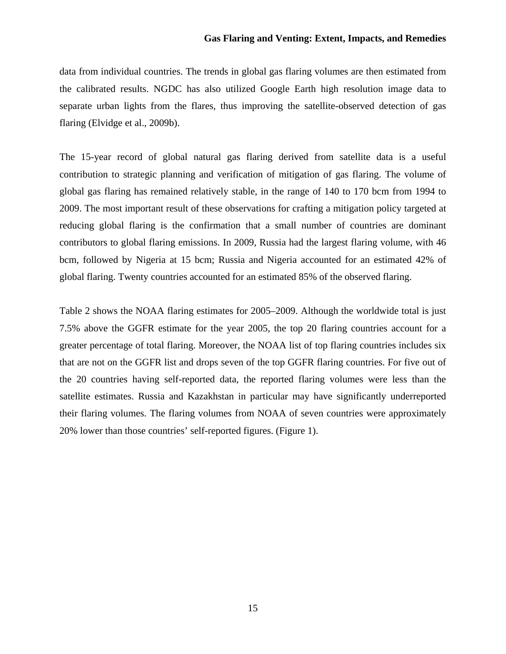data from individual countries. The trends in global gas flaring volumes are then estimated from the calibrated results. NGDC has also utilized Google Earth high resolution image data to separate urban lights from the flares, thus improving the satellite-observed detection of gas flaring (Elvidge et al., 2009b).

The 15-year record of global natural gas flaring derived from satellite data is a useful contribution to strategic planning and verification of mitigation of gas flaring. The volume of global gas flaring has remained relatively stable, in the range of 140 to 170 bcm from 1994 to 2009. The most important result of these observations for crafting a mitigation policy targeted at reducing global flaring is the confirmation that a small number of countries are dominant contributors to global flaring emissions. In 2009, Russia had the largest flaring volume, with 46 bcm, followed by Nigeria at 15 bcm; Russia and Nigeria accounted for an estimated 42% of global flaring. Twenty countries accounted for an estimated 85% of the observed flaring.

Table 2 shows the NOAA flaring estimates for 2005–2009. Although the worldwide total is just 7.5% above the GGFR estimate for the year 2005, the top 20 flaring countries account for a greater percentage of total flaring. Moreover, the NOAA list of top flaring countries includes six that are not on the GGFR list and drops seven of the top GGFR flaring countries. For five out of the 20 countries having self-reported data, the reported flaring volumes were less than the satellite estimates. Russia and Kazakhstan in particular may have significantly underreported their flaring volumes. The flaring volumes from NOAA of seven countries were approximately 20% lower than those countries' self-reported figures. (Figure 1).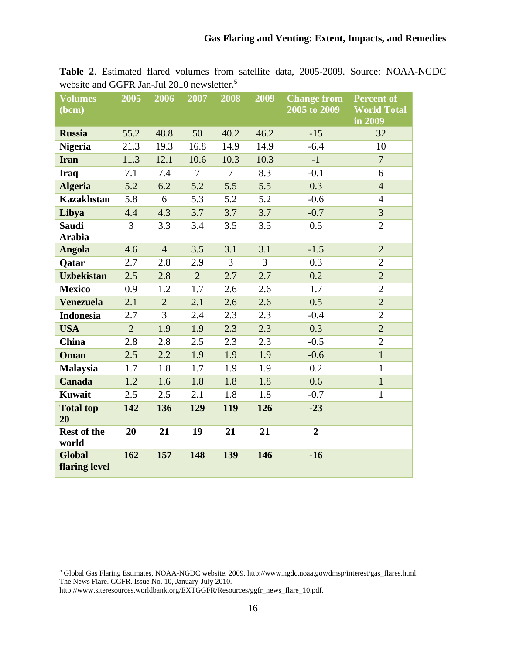| <b>Volumes</b><br>(bcm)        | 2005           | 2006           | 2007           | 2008           | 2009           | <b>Change from</b><br>2005 to 2009 | <b>Percent of</b><br><b>World Total</b><br>in 2009 |
|--------------------------------|----------------|----------------|----------------|----------------|----------------|------------------------------------|----------------------------------------------------|
| <b>Russia</b>                  | 55.2           | 48.8           | 50             | 40.2           | 46.2           | $-15$                              | 32                                                 |
| <b>Nigeria</b>                 | 21.3           | 19.3           | 16.8           | 14.9           | 14.9           | $-6.4$                             | 10                                                 |
| <b>Iran</b>                    | 11.3           | 12.1           | 10.6           | 10.3           | 10.3           | $-1$                               | $\overline{7}$                                     |
| <b>Iraq</b>                    | 7.1            | 7.4            | $\tau$         | $\tau$         | 8.3            | $-0.1$                             | 6                                                  |
| <b>Algeria</b>                 | 5.2            | 6.2            | 5.2            | 5.5            | 5.5            | 0.3                                | $\overline{4}$                                     |
| <b>Kazakhstan</b>              | 5.8            | 6              | 5.3            | 5.2            | 5.2            | $-0.6$                             | $\overline{4}$                                     |
| Libya                          | 4.4            | 4.3            | 3.7            | 3.7            | 3.7            | $-0.7$                             | 3                                                  |
| <b>Saudi</b><br><b>Arabia</b>  | 3              | 3.3            | 3.4            | 3.5            | 3.5            | 0.5                                | $\overline{2}$                                     |
| <b>Angola</b>                  | 4.6            | $\overline{4}$ | 3.5            | 3.1            | 3.1            | $-1.5$                             | $\overline{2}$                                     |
| Qatar                          | 2.7            | 2.8            | 2.9            | $\overline{3}$ | $\overline{3}$ | 0.3                                | $\overline{2}$                                     |
| <b>Uzbekistan</b>              | 2.5            | 2.8            | $\overline{2}$ | 2.7            | 2.7            | 0.2                                | $\overline{2}$                                     |
| <b>Mexico</b>                  | 0.9            | 1.2            | 1.7            | 2.6            | 2.6            | 1.7                                | $\overline{2}$                                     |
| <b>Venezuela</b>               | 2.1            | $\overline{2}$ | 2.1            | 2.6            | 2.6            | 0.5                                | $\overline{2}$                                     |
| <b>Indonesia</b>               | 2.7            | 3              | 2.4            | 2.3            | 2.3            | $-0.4$                             | $\overline{2}$                                     |
| <b>USA</b>                     | $\overline{2}$ | 1.9            | 1.9            | 2.3            | 2.3            | 0.3                                | $\overline{2}$                                     |
| <b>China</b>                   | 2.8            | 2.8            | 2.5            | 2.3            | 2.3            | $-0.5$                             | $\overline{2}$                                     |
| Oman                           | 2.5            | 2.2            | 1.9            | 1.9            | 1.9            | $-0.6$                             | $\mathbf{1}$                                       |
| <b>Malaysia</b>                | 1.7            | 1.8            | 1.7            | 1.9            | 1.9            | 0.2                                | $\mathbf{1}$                                       |
| <b>Canada</b>                  | 1.2            | 1.6            | 1.8            | 1.8            | 1.8            | 0.6                                | $\mathbf{1}$                                       |
| Kuwait                         | 2.5            | 2.5            | 2.1            | 1.8            | 1.8            | $-0.7$                             | $\mathbf{1}$                                       |
| <b>Total top</b><br>20         | 142            | 136            | 129            | 119            | 126            | $-23$                              |                                                    |
| Rest of the<br>world           | 20             | 21             | 19             | 21             | 21             | $\overline{2}$                     |                                                    |
| <b>Global</b><br>flaring level | 162            | 157            | 148            | 139            | 146            | $-16$                              |                                                    |

**Table 2**. Estimated flared volumes from satellite data, 2005-2009. Source: NOAA-NGDC website and GGFR Jan-Jul 2010 newsletter.<sup>5</sup>

<sup>&</sup>lt;sup>5</sup> Global Gas Flaring Estimates, NOAA-NGDC website. 2009. http://www.ngdc.noaa.gov/dmsp/interest/gas\_flares.html. The News Flare. GGFR. Issue No. 10, January-July 2010.

http://www.siteresources.worldbank.org/EXTGGFR/Resources/ggfr\_news\_flare\_10.pdf.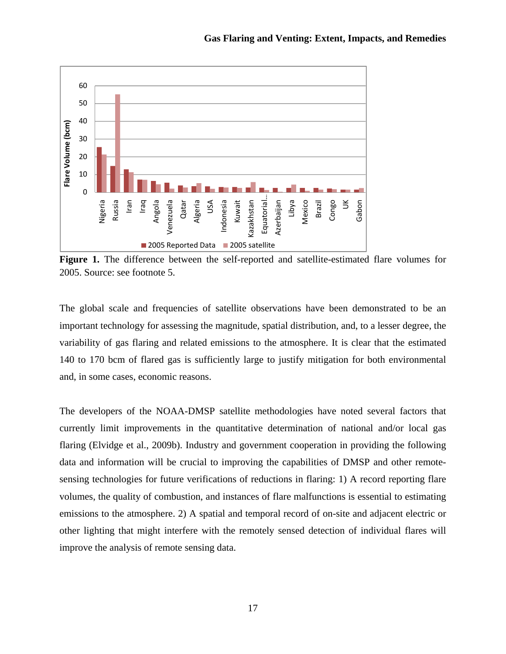

Figure 1. The difference between the self-reported and satellite-estimated flare volumes for 2005. Source: see footnote 5.

The global scale and frequencies of satellite observations have been demonstrated to be an important technology for assessing the magnitude, spatial distribution, and, to a lesser degree, the variability of gas flaring and related emissions to the atmosphere. It is clear that the estimated 140 to 170 bcm of flared gas is sufficiently large to justify mitigation for both environmental and, in some cases, economic reasons.

The developers of the NOAA-DMSP satellite methodologies have noted several factors that currently limit improvements in the quantitative determination of national and/or local gas flaring (Elvidge et al., 2009b). Industry and government cooperation in providing the following data and information will be crucial to improving the capabilities of DMSP and other remotesensing technologies for future verifications of reductions in flaring: 1) A record reporting flare volumes, the quality of combustion, and instances of flare malfunctions is essential to estimating emissions to the atmosphere. 2) A spatial and temporal record of on-site and adjacent electric or other lighting that might interfere with the remotely sensed detection of individual flares will improve the analysis of remote sensing data.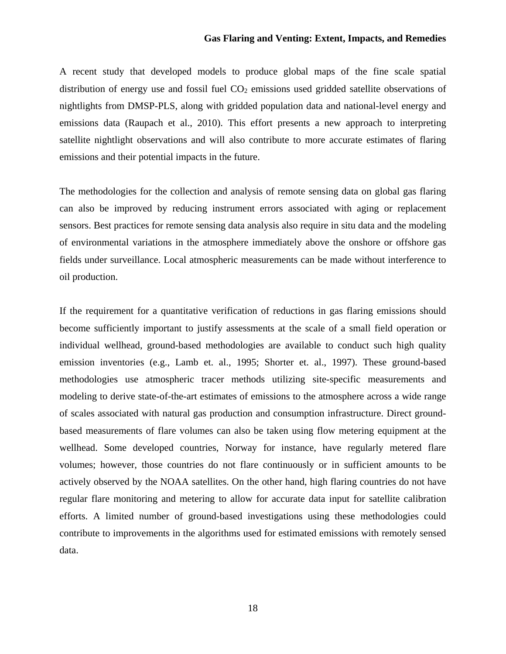A recent study that developed models to produce global maps of the fine scale spatial distribution of energy use and fossil fuel  $CO<sub>2</sub>$  emissions used gridded satellite observations of nightlights from DMSP-PLS, along with gridded population data and national-level energy and emissions data (Raupach et al., 2010). This effort presents a new approach to interpreting satellite nightlight observations and will also contribute to more accurate estimates of flaring emissions and their potential impacts in the future.

The methodologies for the collection and analysis of remote sensing data on global gas flaring can also be improved by reducing instrument errors associated with aging or replacement sensors. Best practices for remote sensing data analysis also require in situ data and the modeling of environmental variations in the atmosphere immediately above the onshore or offshore gas fields under surveillance. Local atmospheric measurements can be made without interference to oil production.

If the requirement for a quantitative verification of reductions in gas flaring emissions should become sufficiently important to justify assessments at the scale of a small field operation or individual wellhead, ground-based methodologies are available to conduct such high quality emission inventories (e.g., Lamb et. al., 1995; Shorter et. al., 1997). These ground-based methodologies use atmospheric tracer methods utilizing site-specific measurements and modeling to derive state-of-the-art estimates of emissions to the atmosphere across a wide range of scales associated with natural gas production and consumption infrastructure. Direct groundbased measurements of flare volumes can also be taken using flow metering equipment at the wellhead. Some developed countries, Norway for instance, have regularly metered flare volumes; however, those countries do not flare continuously or in sufficient amounts to be actively observed by the NOAA satellites. On the other hand, high flaring countries do not have regular flare monitoring and metering to allow for accurate data input for satellite calibration efforts. A limited number of ground-based investigations using these methodologies could contribute to improvements in the algorithms used for estimated emissions with remotely sensed data.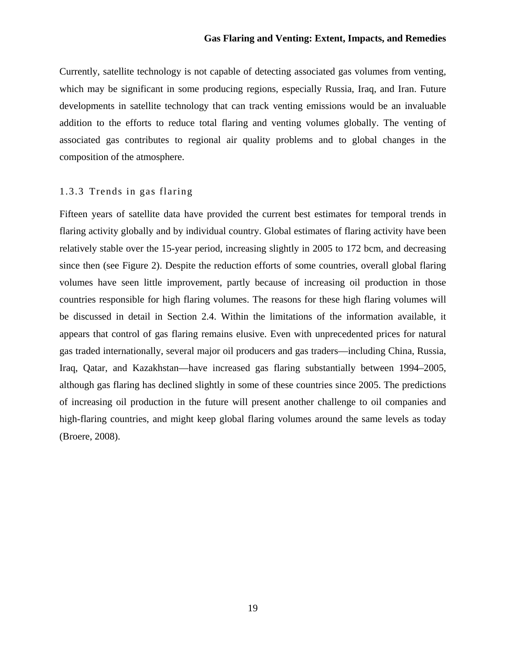Currently, satellite technology is not capable of detecting associated gas volumes from venting, which may be significant in some producing regions, especially Russia, Iraq, and Iran. Future developments in satellite technology that can track venting emissions would be an invaluable addition to the efforts to reduce total flaring and venting volumes globally. The venting of associated gas contributes to regional air quality problems and to global changes in the composition of the atmosphere.

#### 1.3.3 Trends in gas flaring

Fifteen years of satellite data have provided the current best estimates for temporal trends in flaring activity globally and by individual country. Global estimates of flaring activity have been relatively stable over the 15-year period, increasing slightly in 2005 to 172 bcm, and decreasing since then (see Figure 2). Despite the reduction efforts of some countries, overall global flaring volumes have seen little improvement, partly because of increasing oil production in those countries responsible for high flaring volumes. The reasons for these high flaring volumes will be discussed in detail in Section 2.4. Within the limitations of the information available, it appears that control of gas flaring remains elusive. Even with unprecedented prices for natural gas traded internationally, several major oil producers and gas traders—including China, Russia, Iraq, Qatar, and Kazakhstan—have increased gas flaring substantially between 1994–2005, although gas flaring has declined slightly in some of these countries since 2005. The predictions of increasing oil production in the future will present another challenge to oil companies and high-flaring countries, and might keep global flaring volumes around the same levels as today (Broere, 2008).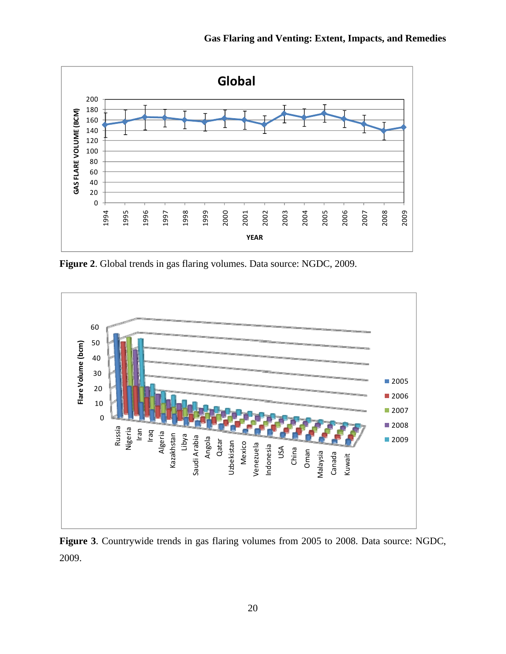

**Figure 2**. Global trends in gas flaring volumes. Data source: NGDC, 2009.



**Figure 3**. Countrywide trends in gas flaring volumes from 2005 to 2008. Data source: NGDC, 2009.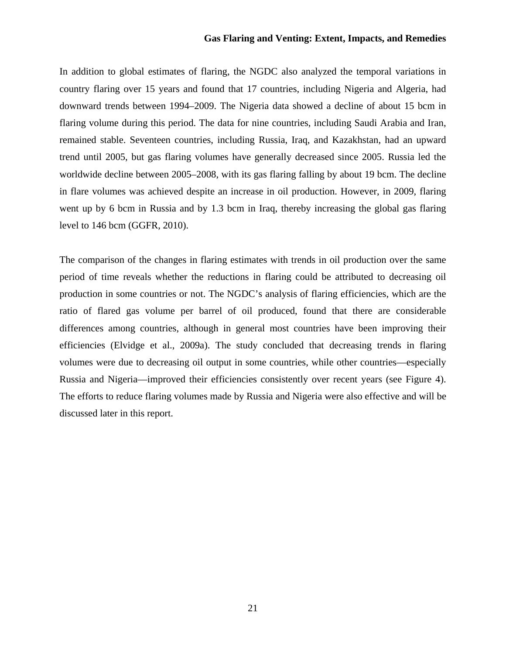In addition to global estimates of flaring, the NGDC also analyzed the temporal variations in country flaring over 15 years and found that 17 countries, including Nigeria and Algeria, had downward trends between 1994–2009. The Nigeria data showed a decline of about 15 bcm in flaring volume during this period. The data for nine countries, including Saudi Arabia and Iran, remained stable. Seventeen countries, including Russia, Iraq, and Kazakhstan, had an upward trend until 2005, but gas flaring volumes have generally decreased since 2005. Russia led the worldwide decline between 2005–2008, with its gas flaring falling by about 19 bcm. The decline in flare volumes was achieved despite an increase in oil production. However, in 2009, flaring went up by 6 bcm in Russia and by 1.3 bcm in Iraq, thereby increasing the global gas flaring level to 146 bcm (GGFR, 2010).

The comparison of the changes in flaring estimates with trends in oil production over the same period of time reveals whether the reductions in flaring could be attributed to decreasing oil production in some countries or not. The NGDC's analysis of flaring efficiencies, which are the ratio of flared gas volume per barrel of oil produced, found that there are considerable differences among countries, although in general most countries have been improving their efficiencies (Elvidge et al., 2009a). The study concluded that decreasing trends in flaring volumes were due to decreasing oil output in some countries, while other countries—especially Russia and Nigeria—improved their efficiencies consistently over recent years (see Figure 4). The efforts to reduce flaring volumes made by Russia and Nigeria were also effective and will be discussed later in this report.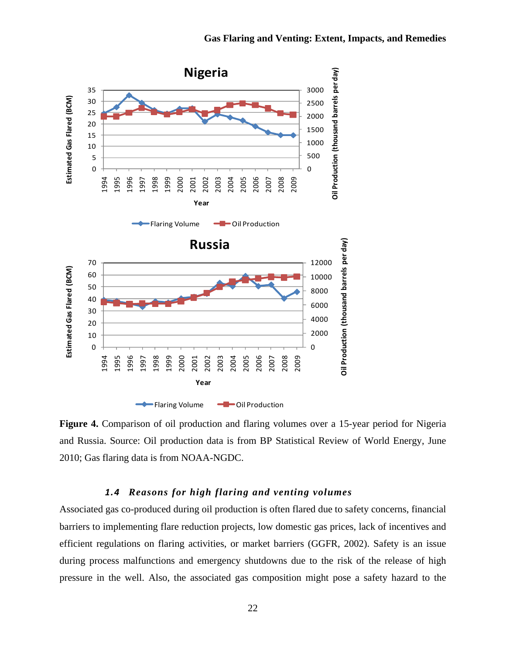

Figure 4. Comparison of oil production and flaring volumes over a 15-year period for Nigeria and Russia. Source: Oil production data is from BP Statistical Review of World Energy, June 2010; Gas flaring data is from NOAA-NGDC.

#### *1.4 Reasons for high flaring and venting volumes*

Associated gas co-produced during oil production is often flared due to safety concerns, financial barriers to implementing flare reduction projects, low domestic gas prices, lack of incentives and efficient regulations on flaring activities, or market barriers (GGFR, 2002). Safety is an issue during process malfunctions and emergency shutdowns due to the risk of the release of high pressure in the well. Also, the associated gas composition might pose a safety hazard to the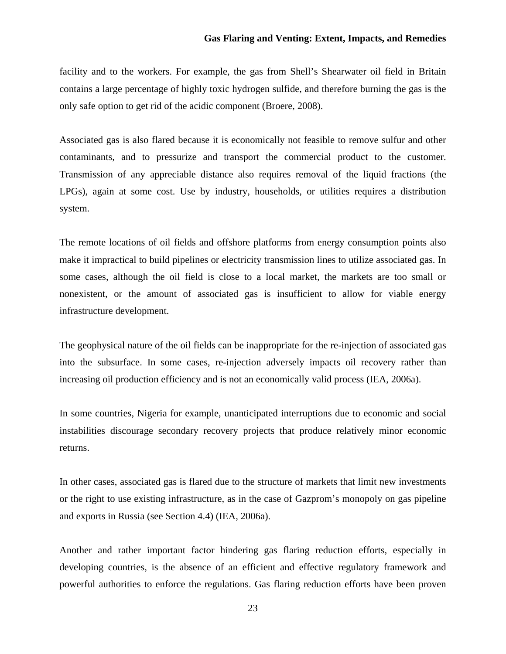facility and to the workers. For example, the gas from Shell's Shearwater oil field in Britain contains a large percentage of highly toxic hydrogen sulfide, and therefore burning the gas is the only safe option to get rid of the acidic component (Broere, 2008).

Associated gas is also flared because it is economically not feasible to remove sulfur and other contaminants, and to pressurize and transport the commercial product to the customer. Transmission of any appreciable distance also requires removal of the liquid fractions (the LPGs), again at some cost. Use by industry, households, or utilities requires a distribution system.

The remote locations of oil fields and offshore platforms from energy consumption points also make it impractical to build pipelines or electricity transmission lines to utilize associated gas. In some cases, although the oil field is close to a local market, the markets are too small or nonexistent, or the amount of associated gas is insufficient to allow for viable energy infrastructure development.

The geophysical nature of the oil fields can be inappropriate for the re-injection of associated gas into the subsurface. In some cases, re-injection adversely impacts oil recovery rather than increasing oil production efficiency and is not an economically valid process (IEA, 2006a).

In some countries, Nigeria for example, unanticipated interruptions due to economic and social instabilities discourage secondary recovery projects that produce relatively minor economic returns.

In other cases, associated gas is flared due to the structure of markets that limit new investments or the right to use existing infrastructure, as in the case of Gazprom's monopoly on gas pipeline and exports in Russia (see Section 4.4) (IEA, 2006a).

Another and rather important factor hindering gas flaring reduction efforts, especially in developing countries, is the absence of an efficient and effective regulatory framework and powerful authorities to enforce the regulations. Gas flaring reduction efforts have been proven

23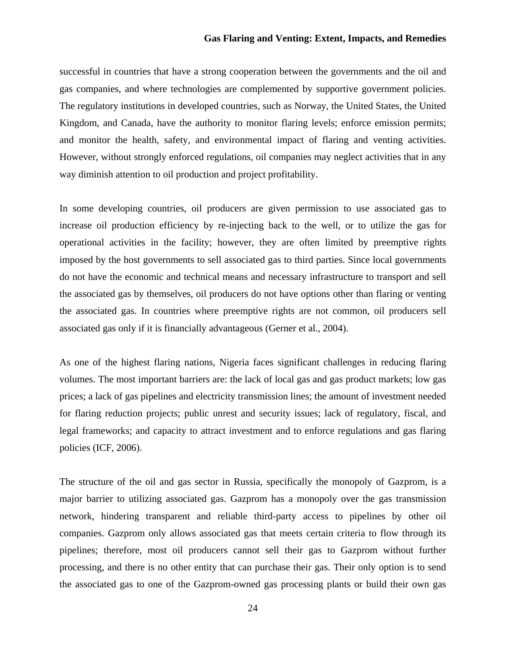successful in countries that have a strong cooperation between the governments and the oil and gas companies, and where technologies are complemented by supportive government policies. The regulatory institutions in developed countries, such as Norway, the United States, the United Kingdom, and Canada, have the authority to monitor flaring levels; enforce emission permits; and monitor the health, safety, and environmental impact of flaring and venting activities. However, without strongly enforced regulations, oil companies may neglect activities that in any way diminish attention to oil production and project profitability.

In some developing countries, oil producers are given permission to use associated gas to increase oil production efficiency by re-injecting back to the well, or to utilize the gas for operational activities in the facility; however, they are often limited by preemptive rights imposed by the host governments to sell associated gas to third parties. Since local governments do not have the economic and technical means and necessary infrastructure to transport and sell the associated gas by themselves, oil producers do not have options other than flaring or venting the associated gas. In countries where preemptive rights are not common, oil producers sell associated gas only if it is financially advantageous (Gerner et al., 2004).

As one of the highest flaring nations, Nigeria faces significant challenges in reducing flaring volumes. The most important barriers are: the lack of local gas and gas product markets; low gas prices; a lack of gas pipelines and electricity transmission lines; the amount of investment needed for flaring reduction projects; public unrest and security issues; lack of regulatory, fiscal, and legal frameworks; and capacity to attract investment and to enforce regulations and gas flaring policies (ICF, 2006).

The structure of the oil and gas sector in Russia, specifically the monopoly of Gazprom, is a major barrier to utilizing associated gas. Gazprom has a monopoly over the gas transmission network, hindering transparent and reliable third-party access to pipelines by other oil companies. Gazprom only allows associated gas that meets certain criteria to flow through its pipelines; therefore, most oil producers cannot sell their gas to Gazprom without further processing, and there is no other entity that can purchase their gas. Their only option is to send the associated gas to one of the Gazprom-owned gas processing plants or build their own gas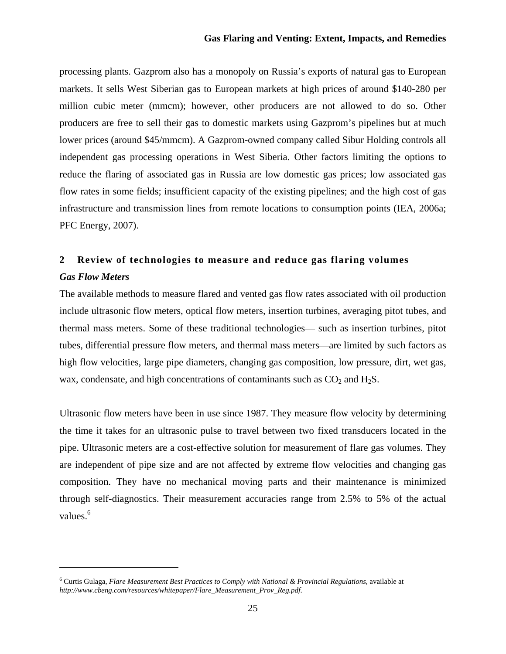processing plants. Gazprom also has a monopoly on Russia's exports of natural gas to European markets. It sells West Siberian gas to European markets at high prices of around \$140-280 per million cubic meter (mmcm); however, other producers are not allowed to do so. Other producers are free to sell their gas to domestic markets using Gazprom's pipelines but at much lower prices (around \$45/mmcm). A Gazprom-owned company called Sibur Holding controls all independent gas processing operations in West Siberia. Other factors limiting the options to reduce the flaring of associated gas in Russia are low domestic gas prices; low associated gas flow rates in some fields; insufficient capacity of the existing pipelines; and the high cost of gas infrastructure and transmission lines from remote locations to consumption points (IEA, 2006a; PFC Energy, 2007).

### **2 Review of technologies to measure and reduce gas flaring volumes**  *Gas Flow Meters*

The available methods to measure flared and vented gas flow rates associated with oil production include ultrasonic flow meters, optical flow meters, insertion turbines, averaging pitot tubes, and thermal mass meters. Some of these traditional technologies— such as insertion turbines, pitot tubes, differential pressure flow meters, and thermal mass meters—are limited by such factors as high flow velocities, large pipe diameters, changing gas composition, low pressure, dirt, wet gas, wax, condensate, and high concentrations of contaminants such as  $CO<sub>2</sub>$  and  $H<sub>2</sub>S$ .

Ultrasonic flow meters have been in use since 1987. They measure flow velocity by determining the time it takes for an ultrasonic pulse to travel between two fixed transducers located in the pipe. Ultrasonic meters are a cost-effective solution for measurement of flare gas volumes. They are independent of pipe size and are not affected by extreme flow velocities and changing gas composition. They have no mechanical moving parts and their maintenance is minimized through self-diagnostics. Their measurement accuracies range from 2.5% to 5% of the actual values.<sup>6</sup>

<sup>6</sup> Curtis Gulaga, *Flare Measurement Best Practices to Comply with National & Provincial Regulations*, available at *http://www.cbeng.com/resources/whitepaper/Flare\_Measurement\_Prov\_Reg.pdf*.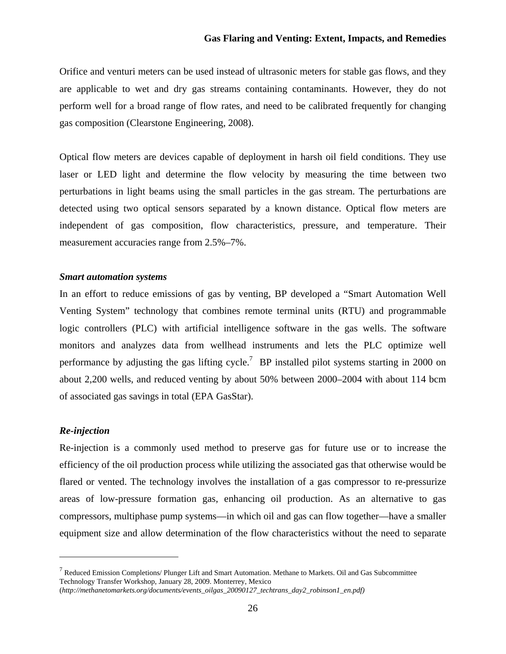Orifice and venturi meters can be used instead of ultrasonic meters for stable gas flows, and they are applicable to wet and dry gas streams containing contaminants. However, they do not perform well for a broad range of flow rates, and need to be calibrated frequently for changing gas composition (Clearstone Engineering, 2008).

Optical flow meters are devices capable of deployment in harsh oil field conditions. They use laser or LED light and determine the flow velocity by measuring the time between two perturbations in light beams using the small particles in the gas stream. The perturbations are detected using two optical sensors separated by a known distance. Optical flow meters are independent of gas composition, flow characteristics, pressure, and temperature. Their measurement accuracies range from 2.5%–7%.

#### *Smart automation systems*

In an effort to reduce emissions of gas by venting, BP developed a "Smart Automation Well Venting System" technology that combines remote terminal units (RTU) and programmable logic controllers (PLC) with artificial intelligence software in the gas wells. The software monitors and analyzes data from wellhead instruments and lets the PLC optimize well performance by adjusting the gas lifting cycle.<sup>7</sup> BP installed pilot systems starting in 2000 on about 2,200 wells, and reduced venting by about 50% between 2000–2004 with about 114 bcm of associated gas savings in total (EPA GasStar).

#### *Re-injection*

Re-injection is a commonly used method to preserve gas for future use or to increase the efficiency of the oil production process while utilizing the associated gas that otherwise would be flared or vented. The technology involves the installation of a gas compressor to re-pressurize areas of low-pressure formation gas, enhancing oil production. As an alternative to gas compressors, multiphase pump systems—in which oil and gas can flow together—have a smaller equipment size and allow determination of the flow characteristics without the need to separate

 $<sup>7</sup>$  Reduced Emission Completions/ Plunger Lift and Smart Automation. Methane to Markets. Oil and Gas Subcommittee</sup> Technology Transfer Workshop, January 28, 2009. Monterrey, Mexico

<sup>(</sup>*http://methanetomarkets.org/documents/events\_oilgas\_20090127\_techtrans\_day2\_robinson1\_en.pdf)*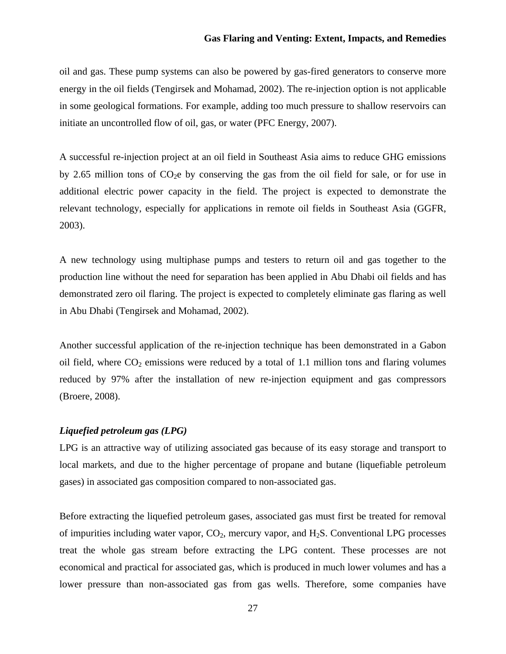oil and gas. These pump systems can also be powered by gas-fired generators to conserve more energy in the oil fields (Tengirsek and Mohamad, 2002). The re-injection option is not applicable in some geological formations. For example, adding too much pressure to shallow reservoirs can initiate an uncontrolled flow of oil, gas, or water (PFC Energy, 2007).

A successful re-injection project at an oil field in Southeast Asia aims to reduce GHG emissions by 2.65 million tons of  $CO<sub>2</sub>e$  by conserving the gas from the oil field for sale, or for use in additional electric power capacity in the field. The project is expected to demonstrate the relevant technology, especially for applications in remote oil fields in Southeast Asia (GGFR, 2003).

A new technology using multiphase pumps and testers to return oil and gas together to the production line without the need for separation has been applied in Abu Dhabi oil fields and has demonstrated zero oil flaring. The project is expected to completely eliminate gas flaring as well in Abu Dhabi (Tengirsek and Mohamad, 2002).

Another successful application of the re-injection technique has been demonstrated in a Gabon oil field, where  $CO_2$  emissions were reduced by a total of 1.1 million tons and flaring volumes reduced by 97% after the installation of new re-injection equipment and gas compressors (Broere, 2008).

#### *Liquefied petroleum gas (LPG)*

LPG is an attractive way of utilizing associated gas because of its easy storage and transport to local markets, and due to the higher percentage of propane and butane (liquefiable petroleum gases) in associated gas composition compared to non-associated gas.

Before extracting the liquefied petroleum gases, associated gas must first be treated for removal of impurities including water vapor,  $CO<sub>2</sub>$ , mercury vapor, and H<sub>2</sub>S. Conventional LPG processes treat the whole gas stream before extracting the LPG content. These processes are not economical and practical for associated gas, which is produced in much lower volumes and has a lower pressure than non-associated gas from gas wells. Therefore, some companies have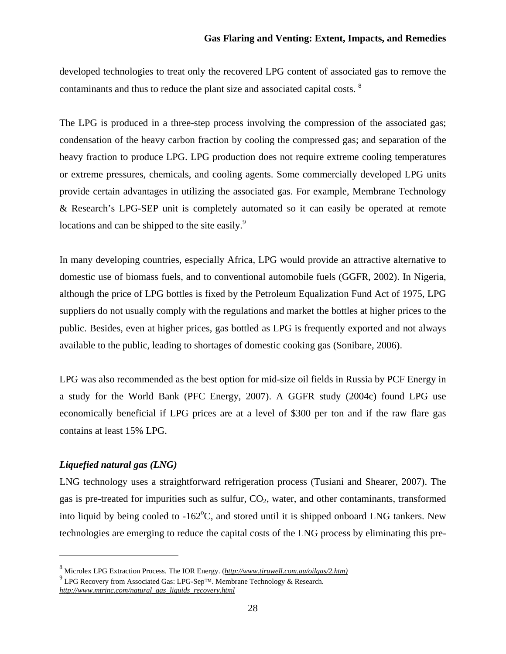developed technologies to treat only the recovered LPG content of associated gas to remove the contaminants and thus to reduce the plant size and associated capital costs. <sup>8</sup>

The LPG is produced in a three-step process involving the compression of the associated gas; condensation of the heavy carbon fraction by cooling the compressed gas; and separation of the heavy fraction to produce LPG. LPG production does not require extreme cooling temperatures or extreme pressures, chemicals, and cooling agents. Some commercially developed LPG units provide certain advantages in utilizing the associated gas. For example, Membrane Technology & Research's LPG-SEP unit is completely automated so it can easily be operated at remote locations and can be shipped to the site easily. $\degree$ 

In many developing countries, especially Africa, LPG would provide an attractive alternative to domestic use of biomass fuels, and to conventional automobile fuels (GGFR, 2002). In Nigeria, although the price of LPG bottles is fixed by the Petroleum Equalization Fund Act of 1975, LPG suppliers do not usually comply with the regulations and market the bottles at higher prices to the public. Besides, even at higher prices, gas bottled as LPG is frequently exported and not always available to the public, leading to shortages of domestic cooking gas (Sonibare, 2006).

LPG was also recommended as the best option for mid-size oil fields in Russia by PCF Energy in a study for the World Bank (PFC Energy, 2007). A GGFR study (2004c) found LPG use economically beneficial if LPG prices are at a level of \$300 per ton and if the raw flare gas contains at least 15% LPG.

#### *Liquefied natural gas (LNG)*

LNG technology uses a straightforward refrigeration process (Tusiani and Shearer, 2007). The gas is pre-treated for impurities such as sulfur,  $CO<sub>2</sub>$ , water, and other contaminants, transformed into liquid by being cooled to  $-162^{\circ}$ C, and stored until it is shipped onboard LNG tankers. New technologies are emerging to reduce the capital costs of the LNG process by eliminating this pre-

<sup>8</sup> Microlex LPG Extraction Process. The IOR Energy. (*http://www.tiruwell.com.au/oilgas/2.htm)*

 $^{9}$  LPG Recovery from Associated Gas: LPG-Sep<sup>TM</sup>. Membrane Technology & Research. *http://www.mtrinc.com/natural\_gas\_liquids\_recovery.html*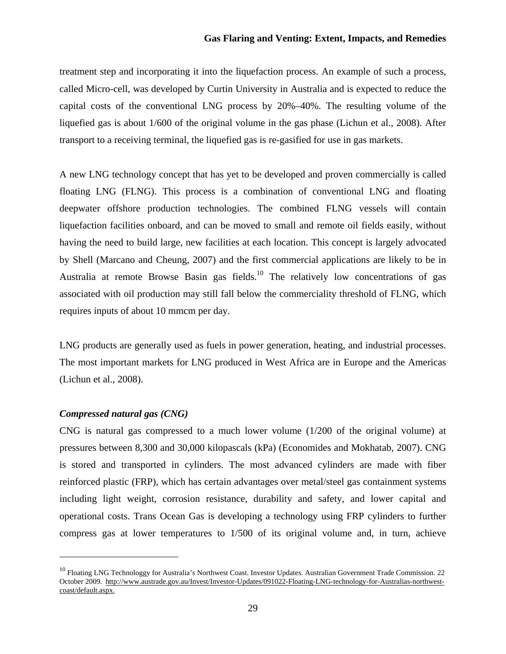treatment step and incorporating it into the liquefaction process. An example of such a process, called Micro-cell, was developed by Curtin University in Australia and is expected to reduce the capital costs of the conventional LNG process by 20%–40%. The resulting volume of the liquefied gas is about 1/600 of the original volume in the gas phase (Lichun et al., 2008). After transport to a receiving terminal, the liquefied gas is re-gasified for use in gas markets.

A new LNG technology concept that has yet to be developed and proven commercially is called floating LNG (FLNG). This process is a combination of conventional LNG and floating deepwater offshore production technologies. The combined FLNG vessels will contain liquefaction facilities onboard, and can be moved to small and remote oil fields easily, without having the need to build large, new facilities at each location. This concept is largely advocated by Shell (Marcano and Cheung, 2007) and the first commercial applications are likely to be in Australia at remote Browse Basin gas fields.<sup>10</sup> The relatively low concentrations of gas associated with oil production may still fall below the commerciality threshold of FLNG, which requires inputs of about 10 mmcm per day.

LNG products are generally used as fuels in power generation, heating, and industrial processes. The most important markets for LNG produced in West Africa are in Europe and the Americas (Lichun et al., 2008).

#### *Compressed natural gas (CNG)*

CNG is natural gas compressed to a much lower volume (1/200 of the original volume) at pressures between 8,300 and 30,000 kilopascals (kPa) (Economides and Mokhatab, 2007). CNG is stored and transported in cylinders. The most advanced cylinders are made with fiber reinforced plastic (FRP), which has certain advantages over metal/steel gas containment systems including light weight, corrosion resistance, durability and safety, and lower capital and operational costs. Trans Ocean Gas is developing a technology using FRP cylinders to further compress gas at lower temperatures to 1/500 of its original volume and, in turn, achieve

 $10$  Floating LNG Technologgy for Australia's Northwest Coast. Investor Updates. Australian Government Trade Commission. 22 October 2009. http://www.austrade.gov.au/Invest/Investor-Updates/091022-Floating-LNG-technology-for-Australias-northwestcoast/default.aspx.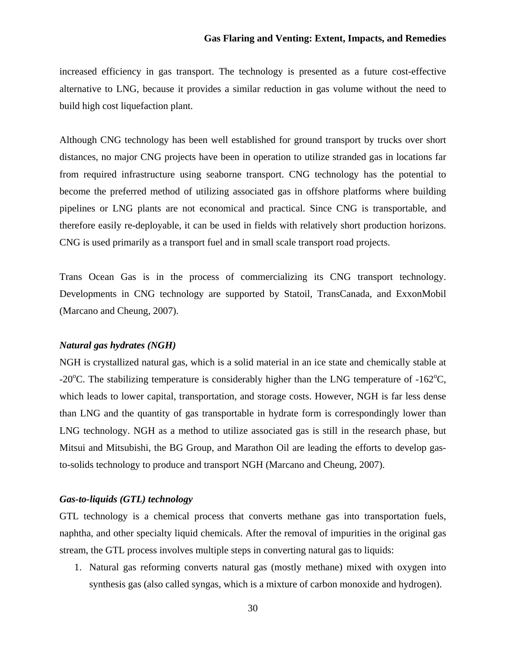increased efficiency in gas transport. The technology is presented as a future cost-effective alternative to LNG, because it provides a similar reduction in gas volume without the need to build high cost liquefaction plant.

Although CNG technology has been well established for ground transport by trucks over short distances, no major CNG projects have been in operation to utilize stranded gas in locations far from required infrastructure using seaborne transport. CNG technology has the potential to become the preferred method of utilizing associated gas in offshore platforms where building pipelines or LNG plants are not economical and practical. Since CNG is transportable, and therefore easily re-deployable, it can be used in fields with relatively short production horizons. CNG is used primarily as a transport fuel and in small scale transport road projects.

Trans Ocean Gas is in the process of commercializing its CNG transport technology. Developments in CNG technology are supported by Statoil, TransCanada, and ExxonMobil (Marcano and Cheung, 2007).

#### *Natural gas hydrates (NGH)*

NGH is crystallized natural gas, which is a solid material in an ice state and chemically stable at -20 $^{\circ}$ C. The stabilizing temperature is considerably higher than the LNG temperature of -162 $^{\circ}$ C, which leads to lower capital, transportation, and storage costs. However, NGH is far less dense than LNG and the quantity of gas transportable in hydrate form is correspondingly lower than LNG technology. NGH as a method to utilize associated gas is still in the research phase, but Mitsui and Mitsubishi, the BG Group, and Marathon Oil are leading the efforts to develop gasto-solids technology to produce and transport NGH (Marcano and Cheung, 2007).

#### *Gas-to-liquids (GTL) technology*

GTL technology is a chemical process that converts methane gas into transportation fuels, naphtha, and other specialty liquid chemicals. After the removal of impurities in the original gas stream, the GTL process involves multiple steps in converting natural gas to liquids:

1. Natural gas reforming converts natural gas (mostly methane) mixed with oxygen into synthesis gas (also called syngas, which is a mixture of carbon monoxide and hydrogen).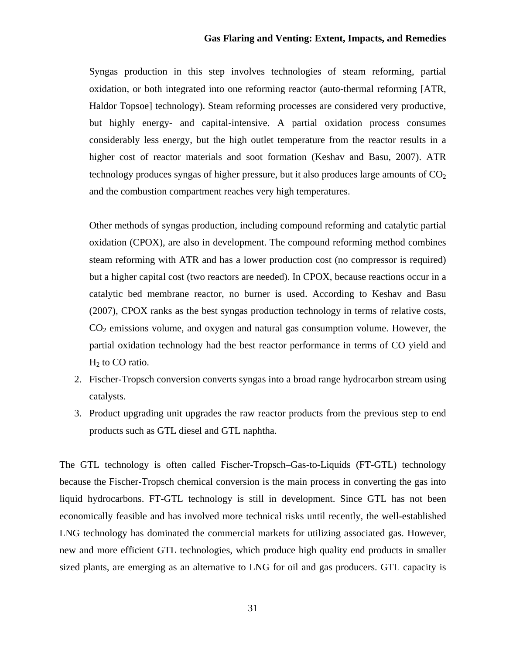Syngas production in this step involves technologies of steam reforming, partial oxidation, or both integrated into one reforming reactor (auto-thermal reforming [ATR, Haldor Topsoe] technology). Steam reforming processes are considered very productive, but highly energy- and capital-intensive. A partial oxidation process consumes considerably less energy, but the high outlet temperature from the reactor results in a higher cost of reactor materials and soot formation (Keshav and Basu, 2007). ATR technology produces syngas of higher pressure, but it also produces large amounts of  $CO<sub>2</sub>$ and the combustion compartment reaches very high temperatures.

Other methods of syngas production, including compound reforming and catalytic partial oxidation (CPOX), are also in development. The compound reforming method combines steam reforming with ATR and has a lower production cost (no compressor is required) but a higher capital cost (two reactors are needed). In CPOX, because reactions occur in a catalytic bed membrane reactor, no burner is used. According to Keshav and Basu (2007), CPOX ranks as the best syngas production technology in terms of relative costs,  $CO<sub>2</sub>$  emissions volume, and oxygen and natural gas consumption volume. However, the partial oxidation technology had the best reactor performance in terms of CO yield and  $H<sub>2</sub>$  to CO ratio.

- 2. Fischer-Tropsch conversion converts syngas into a broad range hydrocarbon stream using catalysts.
- 3. Product upgrading unit upgrades the raw reactor products from the previous step to end products such as GTL diesel and GTL naphtha.

The GTL technology is often called Fischer-Tropsch–Gas-to-Liquids (FT-GTL) technology because the Fischer-Tropsch chemical conversion is the main process in converting the gas into liquid hydrocarbons. FT-GTL technology is still in development. Since GTL has not been economically feasible and has involved more technical risks until recently, the well-established LNG technology has dominated the commercial markets for utilizing associated gas. However, new and more efficient GTL technologies, which produce high quality end products in smaller sized plants, are emerging as an alternative to LNG for oil and gas producers. GTL capacity is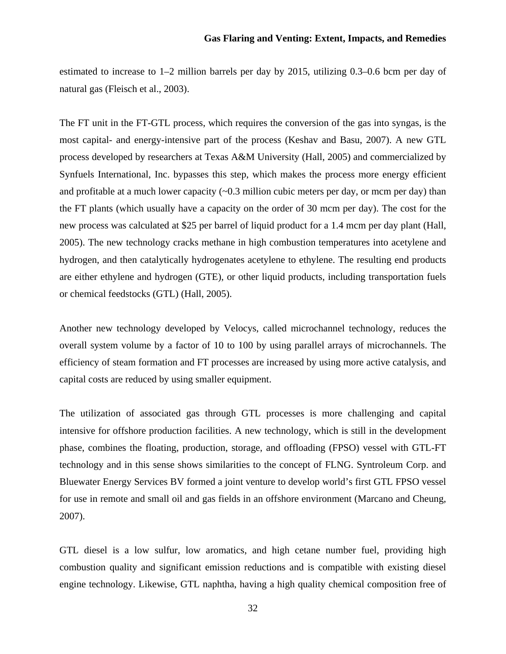estimated to increase to 1–2 million barrels per day by 2015, utilizing 0.3–0.6 bcm per day of natural gas (Fleisch et al., 2003).

The FT unit in the FT-GTL process, which requires the conversion of the gas into syngas, is the most capital- and energy-intensive part of the process (Keshav and Basu, 2007). A new GTL process developed by researchers at Texas A&M University (Hall, 2005) and commercialized by Synfuels International, Inc. bypasses this step, which makes the process more energy efficient and profitable at a much lower capacity  $(-0.3 \text{ million cubic meters per day}, \text{or mem per day})$  than the FT plants (which usually have a capacity on the order of 30 mcm per day). The cost for the new process was calculated at \$25 per barrel of liquid product for a 1.4 mcm per day plant (Hall, 2005). The new technology cracks methane in high combustion temperatures into acetylene and hydrogen, and then catalytically hydrogenates acetylene to ethylene. The resulting end products are either ethylene and hydrogen (GTE), or other liquid products, including transportation fuels or chemical feedstocks (GTL) (Hall, 2005).

Another new technology developed by Velocys, called microchannel technology, reduces the overall system volume by a factor of 10 to 100 by using parallel arrays of microchannels. The efficiency of steam formation and FT processes are increased by using more active catalysis, and capital costs are reduced by using smaller equipment.

The utilization of associated gas through GTL processes is more challenging and capital intensive for offshore production facilities. A new technology, which is still in the development phase, combines the floating, production, storage, and offloading (FPSO) vessel with GTL-FT technology and in this sense shows similarities to the concept of FLNG. Syntroleum Corp. and Bluewater Energy Services BV formed a joint venture to develop world's first GTL FPSO vessel for use in remote and small oil and gas fields in an offshore environment (Marcano and Cheung, 2007).

GTL diesel is a low sulfur, low aromatics, and high cetane number fuel, providing high combustion quality and significant emission reductions and is compatible with existing diesel engine technology. Likewise, GTL naphtha, having a high quality chemical composition free of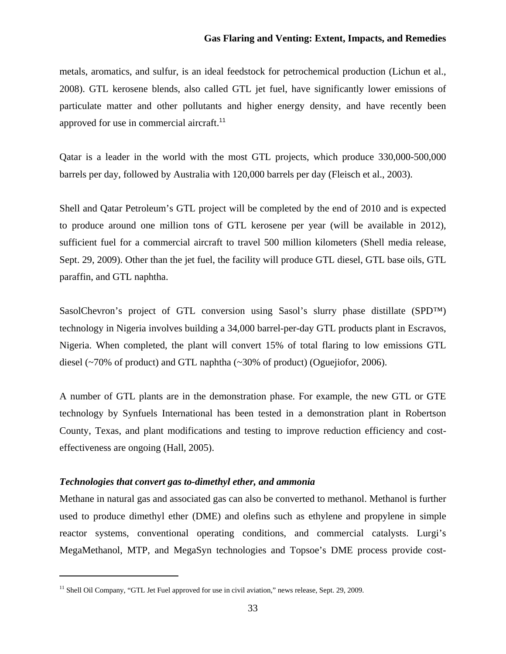metals, aromatics, and sulfur, is an ideal feedstock for petrochemical production (Lichun et al., 2008). GTL kerosene blends, also called GTL jet fuel, have significantly lower emissions of particulate matter and other pollutants and higher energy density, and have recently been approved for use in commercial aircraft.<sup>11</sup>

Qatar is a leader in the world with the most GTL projects, which produce 330,000-500,000 barrels per day, followed by Australia with 120,000 barrels per day (Fleisch et al., 2003).

Shell and Qatar Petroleum's GTL project will be completed by the end of 2010 and is expected to produce around one million tons of GTL kerosene per year (will be available in 2012), sufficient fuel for a commercial aircraft to travel 500 million kilometers (Shell media release, Sept. 29, 2009). Other than the jet fuel, the facility will produce GTL diesel, GTL base oils, GTL paraffin, and GTL naphtha.

SasolChevron's project of GTL conversion using Sasol's slurry phase distillate (SPD™) technology in Nigeria involves building a 34,000 barrel-per-day GTL products plant in Escravos, Nigeria. When completed, the plant will convert 15% of total flaring to low emissions GTL diesel (~70% of product) and GTL naphtha (~30% of product) (Oguejiofor, 2006).

A number of GTL plants are in the demonstration phase. For example, the new GTL or GTE technology by Synfuels International has been tested in a demonstration plant in Robertson County, Texas, and plant modifications and testing to improve reduction efficiency and costeffectiveness are ongoing (Hall, 2005).

#### *Technologies that convert gas to-dimethyl ether, and ammonia*

Methane in natural gas and associated gas can also be converted to methanol. Methanol is further used to produce dimethyl ether (DME) and olefins such as ethylene and propylene in simple reactor systems, conventional operating conditions, and commercial catalysts. Lurgi's MegaMethanol, MTP, and MegaSyn technologies and Topsoe's DME process provide cost-

<sup>&</sup>lt;sup>11</sup> Shell Oil Company, "GTL Jet Fuel approved for use in civil aviation," news release, Sept. 29, 2009.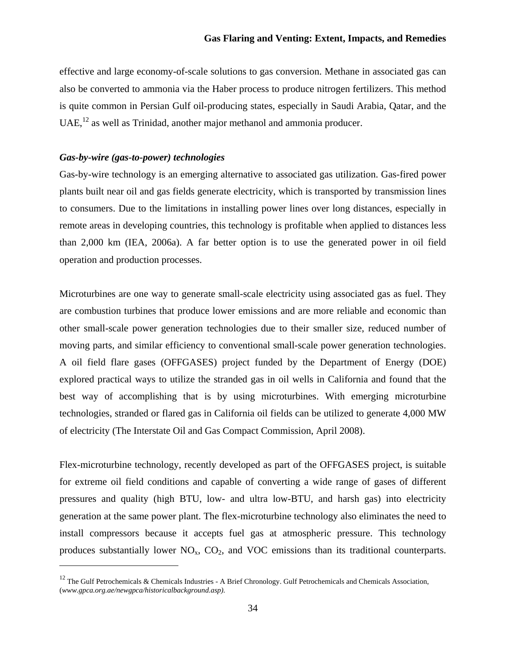effective and large economy-of-scale solutions to gas conversion. Methane in associated gas can also be converted to ammonia via the Haber process to produce nitrogen fertilizers. This method is quite common in Persian Gulf oil-producing states, especially in Saudi Arabia, Qatar, and the  $UAE<sub>1</sub><sup>12</sup>$  as well as Trinidad, another major methanol and ammonia producer.

#### *Gas-by-wire (gas-to-power) technologies*

Gas-by-wire technology is an emerging alternative to associated gas utilization. Gas-fired power plants built near oil and gas fields generate electricity, which is transported by transmission lines to consumers. Due to the limitations in installing power lines over long distances, especially in remote areas in developing countries, this technology is profitable when applied to distances less than 2,000 km (IEA, 2006a). A far better option is to use the generated power in oil field operation and production processes.

Microturbines are one way to generate small-scale electricity using associated gas as fuel. They are combustion turbines that produce lower emissions and are more reliable and economic than other small-scale power generation technologies due to their smaller size, reduced number of moving parts, and similar efficiency to conventional small-scale power generation technologies. A oil field flare gases (OFFGASES) project funded by the Department of Energy (DOE) explored practical ways to utilize the stranded gas in oil wells in California and found that the best way of accomplishing that is by using microturbines. With emerging microturbine technologies, stranded or flared gas in California oil fields can be utilized to generate 4,000 MW of electricity (The Interstate Oil and Gas Compact Commission, April 2008).

Flex-microturbine technology, recently developed as part of the OFFGASES project, is suitable for extreme oil field conditions and capable of converting a wide range of gases of different pressures and quality (high BTU, low- and ultra low-BTU, and harsh gas) into electricity generation at the same power plant. The flex-microturbine technology also eliminates the need to install compressors because it accepts fuel gas at atmospheric pressure. This technology produces substantially lower  $NO<sub>x</sub>$ ,  $CO<sub>2</sub>$ , and VOC emissions than its traditional counterparts.

 $12$  The Gulf Petrochemicals & Chemicals Industries - A Brief Chronology. Gulf Petrochemicals and Chemicals Association, (*www.gpca.org.ae/newgpca/historicalbackground.asp).*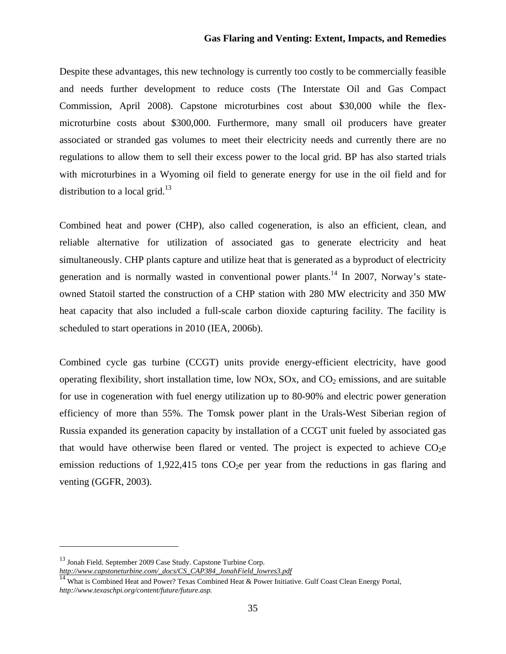Despite these advantages, this new technology is currently too costly to be commercially feasible and needs further development to reduce costs (The Interstate Oil and Gas Compact Commission, April 2008). Capstone microturbines cost about \$30,000 while the flexmicroturbine costs about \$300,000. Furthermore, many small oil producers have greater associated or stranded gas volumes to meet their electricity needs and currently there are no regulations to allow them to sell their excess power to the local grid. BP has also started trials with microturbines in a Wyoming oil field to generate energy for use in the oil field and for distribution to a local grid. $13$ 

Combined heat and power (CHP), also called cogeneration, is also an efficient, clean, and reliable alternative for utilization of associated gas to generate electricity and heat simultaneously. CHP plants capture and utilize heat that is generated as a byproduct of electricity generation and is normally wasted in conventional power plants.<sup>14</sup> In 2007, Norway's stateowned Statoil started the construction of a CHP station with 280 MW electricity and 350 MW heat capacity that also included a full-scale carbon dioxide capturing facility. The facility is scheduled to start operations in 2010 (IEA, 2006b).

Combined cycle gas turbine (CCGT) units provide energy-efficient electricity, have good operating flexibility, short installation time, low NOx, SOx, and  $CO<sub>2</sub>$  emissions, and are suitable for use in cogeneration with fuel energy utilization up to 80-90% and electric power generation efficiency of more than 55%. The Tomsk power plant in the Urals-West Siberian region of Russia expanded its generation capacity by installation of a CCGT unit fueled by associated gas that would have otherwise been flared or vented. The project is expected to achieve  $CO<sub>2</sub>e$ emission reductions of  $1,922,415$  tons CO<sub>2</sub>e per year from the reductions in gas flaring and venting (GGFR, 2003).

<sup>&</sup>lt;sup>13</sup> Jonah Field. September 2009 Case Study. Capstone Turbine Corp.

*http://www.capstoneturbine.com/\_docs/CS\_CAP384\_JonahField\_lowres3.pdf*

<sup>&</sup>lt;sup>14</sup> What is Combined Heat and Power? Texas Combined Heat & Power Initiative. Gulf Coast Clean Energy Portal, *http://www.texaschpi.org/content/future/future.asp.*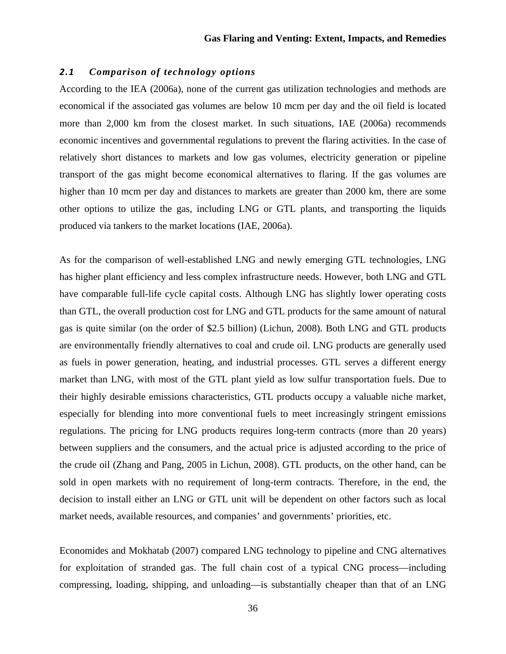## *2.1 Comparison of technology options*

According to the IEA (2006a), none of the current gas utilization technologies and methods are economical if the associated gas volumes are below 10 mcm per day and the oil field is located more than 2,000 km from the closest market. In such situations, IAE (2006a) recommends economic incentives and governmental regulations to prevent the flaring activities. In the case of relatively short distances to markets and low gas volumes, electricity generation or pipeline transport of the gas might become economical alternatives to flaring. If the gas volumes are higher than 10 mcm per day and distances to markets are greater than 2000 km, there are some other options to utilize the gas, including LNG or GTL plants, and transporting the liquids produced via tankers to the market locations (IAE, 2006a).

As for the comparison of well-established LNG and newly emerging GTL technologies, LNG has higher plant efficiency and less complex infrastructure needs. However, both LNG and GTL have comparable full-life cycle capital costs. Although LNG has slightly lower operating costs than GTL, the overall production cost for LNG and GTL products for the same amount of natural gas is quite similar (on the order of \$2.5 billion) (Lichun, 2008). Both LNG and GTL products are environmentally friendly alternatives to coal and crude oil. LNG products are generally used as fuels in power generation, heating, and industrial processes. GTL serves a different energy market than LNG, with most of the GTL plant yield as low sulfur transportation fuels. Due to their highly desirable emissions characteristics, GTL products occupy a valuable niche market, especially for blending into more conventional fuels to meet increasingly stringent emissions regulations. The pricing for LNG products requires long-term contracts (more than 20 years) between suppliers and the consumers, and the actual price is adjusted according to the price of the crude oil (Zhang and Pang, 2005 in Lichun, 2008). GTL products, on the other hand, can be sold in open markets with no requirement of long-term contracts. Therefore, in the end, the decision to install either an LNG or GTL unit will be dependent on other factors such as local market needs, available resources, and companies' and governments' priorities, etc.

Economides and Mokhatab (2007) compared LNG technology to pipeline and CNG alternatives for exploitation of stranded gas. The full chain cost of a typical CNG process—including compressing, loading, shipping, and unloading—is substantially cheaper than that of an LNG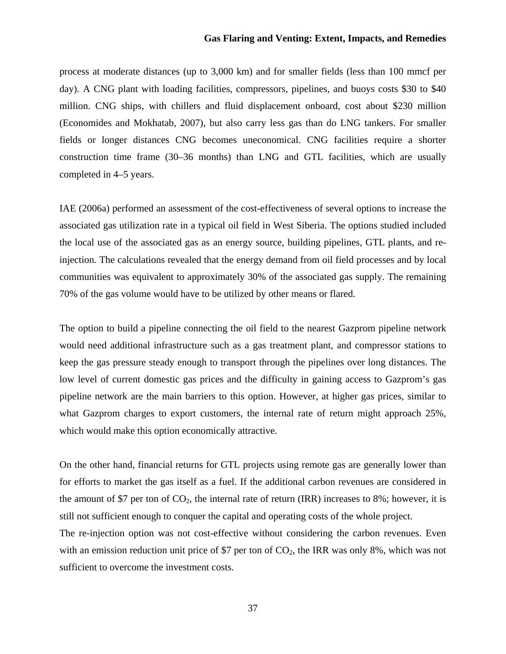process at moderate distances (up to 3,000 km) and for smaller fields (less than 100 mmcf per day). A CNG plant with loading facilities, compressors, pipelines, and buoys costs \$30 to \$40 million. CNG ships, with chillers and fluid displacement onboard, cost about \$230 million (Economides and Mokhatab, 2007), but also carry less gas than do LNG tankers. For smaller fields or longer distances CNG becomes uneconomical. CNG facilities require a shorter construction time frame (30–36 months) than LNG and GTL facilities, which are usually completed in 4–5 years.

IAE (2006a) performed an assessment of the cost-effectiveness of several options to increase the associated gas utilization rate in a typical oil field in West Siberia. The options studied included the local use of the associated gas as an energy source, building pipelines, GTL plants, and reinjection. The calculations revealed that the energy demand from oil field processes and by local communities was equivalent to approximately 30% of the associated gas supply. The remaining 70% of the gas volume would have to be utilized by other means or flared.

The option to build a pipeline connecting the oil field to the nearest Gazprom pipeline network would need additional infrastructure such as a gas treatment plant, and compressor stations to keep the gas pressure steady enough to transport through the pipelines over long distances. The low level of current domestic gas prices and the difficulty in gaining access to Gazprom's gas pipeline network are the main barriers to this option. However, at higher gas prices, similar to what Gazprom charges to export customers, the internal rate of return might approach 25%, which would make this option economically attractive.

On the other hand, financial returns for GTL projects using remote gas are generally lower than for efforts to market the gas itself as a fuel. If the additional carbon revenues are considered in the amount of \$7 per ton of  $CO<sub>2</sub>$ , the internal rate of return (IRR) increases to 8%; however, it is still not sufficient enough to conquer the capital and operating costs of the whole project.

The re-injection option was not cost-effective without considering the carbon revenues. Even with an emission reduction unit price of \$7 per ton of  $CO<sub>2</sub>$ , the IRR was only 8%, which was not sufficient to overcome the investment costs.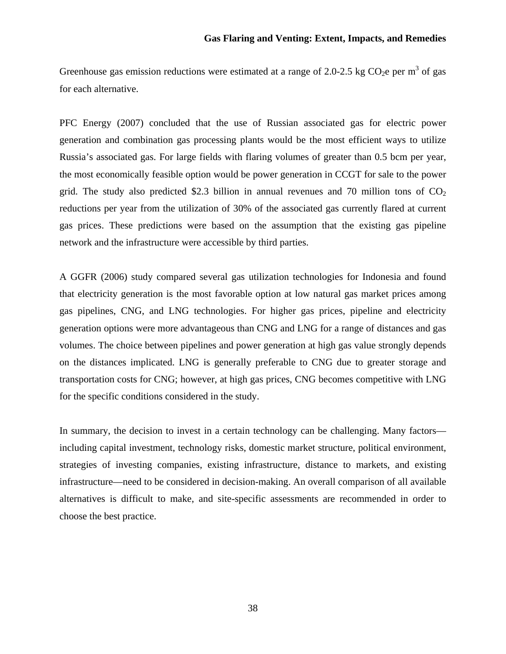Greenhouse gas emission reductions were estimated at a range of 2.0-2.5 kg CO<sub>2</sub>e per m<sup>3</sup> of gas for each alternative.

PFC Energy (2007) concluded that the use of Russian associated gas for electric power generation and combination gas processing plants would be the most efficient ways to utilize Russia's associated gas. For large fields with flaring volumes of greater than 0.5 bcm per year, the most economically feasible option would be power generation in CCGT for sale to the power grid. The study also predicted \$2.3 billion in annual revenues and 70 million tons of  $CO<sub>2</sub>$ reductions per year from the utilization of 30% of the associated gas currently flared at current gas prices. These predictions were based on the assumption that the existing gas pipeline network and the infrastructure were accessible by third parties.

A GGFR (2006) study compared several gas utilization technologies for Indonesia and found that electricity generation is the most favorable option at low natural gas market prices among gas pipelines, CNG, and LNG technologies. For higher gas prices, pipeline and electricity generation options were more advantageous than CNG and LNG for a range of distances and gas volumes. The choice between pipelines and power generation at high gas value strongly depends on the distances implicated. LNG is generally preferable to CNG due to greater storage and transportation costs for CNG; however, at high gas prices, CNG becomes competitive with LNG for the specific conditions considered in the study.

In summary, the decision to invest in a certain technology can be challenging. Many factors including capital investment, technology risks, domestic market structure, political environment, strategies of investing companies, existing infrastructure, distance to markets, and existing infrastructure—need to be considered in decision-making. An overall comparison of all available alternatives is difficult to make, and site-specific assessments are recommended in order to choose the best practice.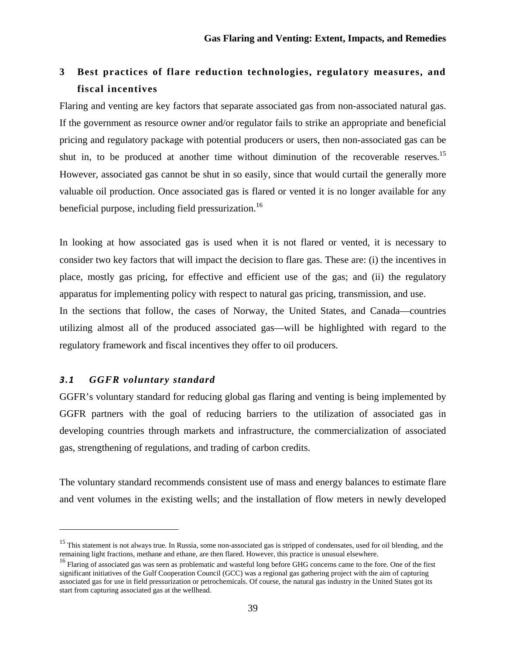# **3 Best practices of flare reduction technologies, regulatory measures, and fiscal incentives**

Flaring and venting are key factors that separate associated gas from non-associated natural gas. If the government as resource owner and/or regulator fails to strike an appropriate and beneficial pricing and regulatory package with potential producers or users, then non-associated gas can be shut in, to be produced at another time without diminution of the recoverable reserves.<sup>15</sup> However, associated gas cannot be shut in so easily, since that would curtail the generally more valuable oil production. Once associated gas is flared or vented it is no longer available for any beneficial purpose, including field pressurization.<sup>16</sup>

In looking at how associated gas is used when it is not flared or vented, it is necessary to consider two key factors that will impact the decision to flare gas. These are: (i) the incentives in place, mostly gas pricing, for effective and efficient use of the gas; and (ii) the regulatory apparatus for implementing policy with respect to natural gas pricing, transmission, and use. In the sections that follow, the cases of Norway, the United States, and Canada—countries

utilizing almost all of the produced associated gas—will be highlighted with regard to the regulatory framework and fiscal incentives they offer to oil producers.

# *3.1 GGFR voluntary standard*

GGFR's voluntary standard for reducing global gas flaring and venting is being implemented by GGFR partners with the goal of reducing barriers to the utilization of associated gas in developing countries through markets and infrastructure, the commercialization of associated gas, strengthening of regulations, and trading of carbon credits.

The voluntary standard recommends consistent use of mass and energy balances to estimate flare and vent volumes in the existing wells; and the installation of flow meters in newly developed

<sup>&</sup>lt;sup>15</sup> This statement is not always true. In Russia, some non-associated gas is stripped of condensates, used for oil blending, and the remaining light fractions, methane and ethane, are then flared. However, this practice is unusual elsewhere.

<sup>&</sup>lt;sup>16</sup> Flaring of associated gas was seen as problematic and wasteful long before GHG concerns came to the fore. One of the first significant initiatives of the Gulf Cooperation Council (GCC) was a regional gas gathering project with the aim of capturing associated gas for use in field pressurization or petrochemicals. Of course, the natural gas industry in the United States got its start from capturing associated gas at the wellhead.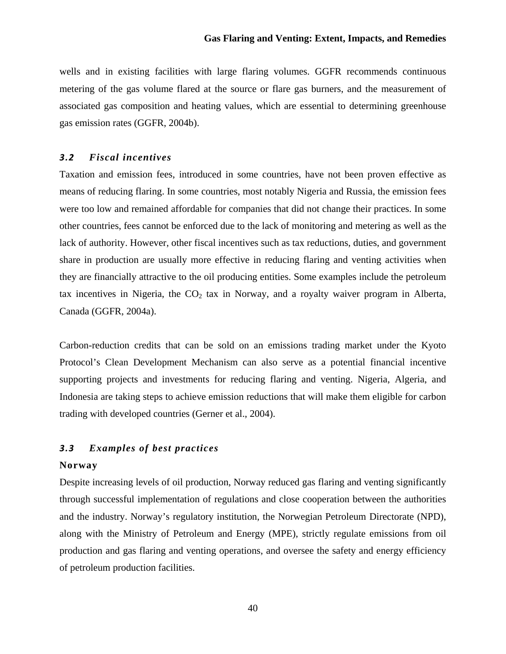wells and in existing facilities with large flaring volumes. GGFR recommends continuous metering of the gas volume flared at the source or flare gas burners, and the measurement of associated gas composition and heating values, which are essential to determining greenhouse gas emission rates (GGFR, 2004b).

## *3.2 Fiscal incentives*

Taxation and emission fees, introduced in some countries, have not been proven effective as means of reducing flaring. In some countries, most notably Nigeria and Russia, the emission fees were too low and remained affordable for companies that did not change their practices. In some other countries, fees cannot be enforced due to the lack of monitoring and metering as well as the lack of authority. However, other fiscal incentives such as tax reductions, duties, and government share in production are usually more effective in reducing flaring and venting activities when they are financially attractive to the oil producing entities. Some examples include the petroleum tax incentives in Nigeria, the  $CO<sub>2</sub>$  tax in Norway, and a royalty waiver program in Alberta, Canada (GGFR, 2004a).

Carbon-reduction credits that can be sold on an emissions trading market under the Kyoto Protocol's Clean Development Mechanism can also serve as a potential financial incentive supporting projects and investments for reducing flaring and venting. Nigeria, Algeria, and Indonesia are taking steps to achieve emission reductions that will make them eligible for carbon trading with developed countries (Gerner et al., 2004).

## *3.3 Examples of best practices*

## **Norway**

Despite increasing levels of oil production, Norway reduced gas flaring and venting significantly through successful implementation of regulations and close cooperation between the authorities and the industry. Norway's regulatory institution, the Norwegian Petroleum Directorate (NPD), along with the Ministry of Petroleum and Energy (MPE), strictly regulate emissions from oil production and gas flaring and venting operations, and oversee the safety and energy efficiency of petroleum production facilities.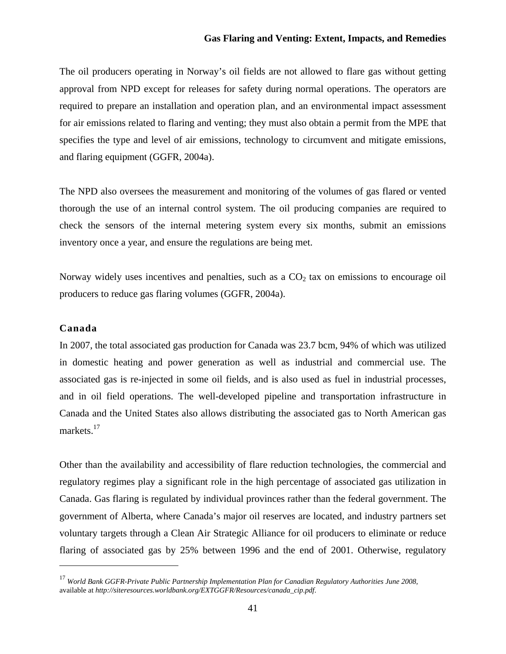The oil producers operating in Norway's oil fields are not allowed to flare gas without getting approval from NPD except for releases for safety during normal operations. The operators are required to prepare an installation and operation plan, and an environmental impact assessment for air emissions related to flaring and venting; they must also obtain a permit from the MPE that specifies the type and level of air emissions, technology to circumvent and mitigate emissions, and flaring equipment (GGFR, 2004a).

The NPD also oversees the measurement and monitoring of the volumes of gas flared or vented thorough the use of an internal control system. The oil producing companies are required to check the sensors of the internal metering system every six months, submit an emissions inventory once a year, and ensure the regulations are being met.

Norway widely uses incentives and penalties, such as a  $CO<sub>2</sub>$  tax on emissions to encourage oil producers to reduce gas flaring volumes (GGFR, 2004a).

### **Canada**

In 2007, the total associated gas production for Canada was 23.7 bcm, 94% of which was utilized in domestic heating and power generation as well as industrial and commercial use. The associated gas is re-injected in some oil fields, and is also used as fuel in industrial processes, and in oil field operations. The well-developed pipeline and transportation infrastructure in Canada and the United States also allows distributing the associated gas to North American gas markets.<sup>17</sup>

Other than the availability and accessibility of flare reduction technologies, the commercial and regulatory regimes play a significant role in the high percentage of associated gas utilization in Canada. Gas flaring is regulated by individual provinces rather than the federal government. The government of Alberta, where Canada's major oil reserves are located, and industry partners set voluntary targets through a Clean Air Strategic Alliance for oil producers to eliminate or reduce flaring of associated gas by 25% between 1996 and the end of 2001. Otherwise, regulatory

<sup>17</sup> *World Bank GGFR-Private Public Partnership Implementation Plan for Canadian Regulatory Authorities June 2008,*  available at *http://siteresources.worldbank.org/EXTGGFR/Resources/canada\_cip.pdf*.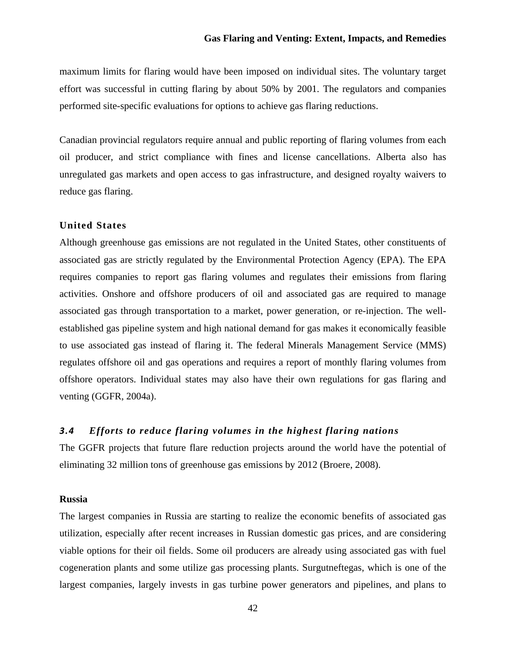maximum limits for flaring would have been imposed on individual sites. The voluntary target effort was successful in cutting flaring by about 50% by 2001. The regulators and companies performed site-specific evaluations for options to achieve gas flaring reductions.

Canadian provincial regulators require annual and public reporting of flaring volumes from each oil producer, and strict compliance with fines and license cancellations. Alberta also has unregulated gas markets and open access to gas infrastructure, and designed royalty waivers to reduce gas flaring.

## **United States**

Although greenhouse gas emissions are not regulated in the United States, other constituents of associated gas are strictly regulated by the Environmental Protection Agency (EPA). The EPA requires companies to report gas flaring volumes and regulates their emissions from flaring activities. Onshore and offshore producers of oil and associated gas are required to manage associated gas through transportation to a market, power generation, or re-injection. The wellestablished gas pipeline system and high national demand for gas makes it economically feasible to use associated gas instead of flaring it. The federal Minerals Management Service (MMS) regulates offshore oil and gas operations and requires a report of monthly flaring volumes from offshore operators. Individual states may also have their own regulations for gas flaring and venting (GGFR, 2004a).

## *3.4 Efforts to reduce flaring volumes in the highest flaring nations*

The GGFR projects that future flare reduction projects around the world have the potential of eliminating 32 million tons of greenhouse gas emissions by 2012 (Broere, 2008).

#### **Russia**

The largest companies in Russia are starting to realize the economic benefits of associated gas utilization, especially after recent increases in Russian domestic gas prices, and are considering viable options for their oil fields. Some oil producers are already using associated gas with fuel cogeneration plants and some utilize gas processing plants. Surgutneftegas, which is one of the largest companies, largely invests in gas turbine power generators and pipelines, and plans to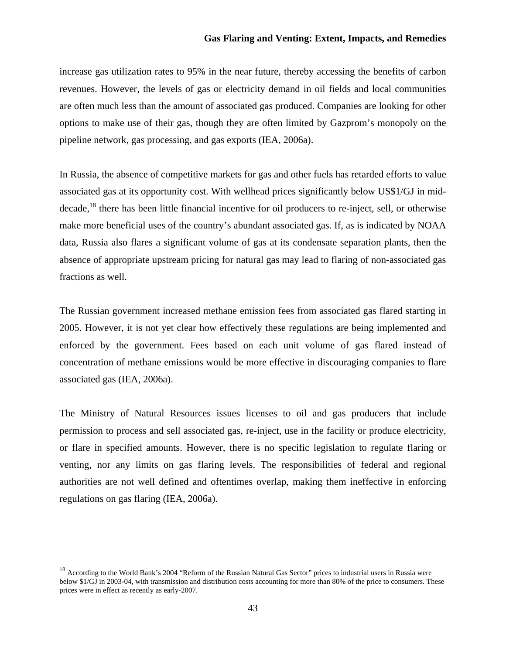increase gas utilization rates to 95% in the near future, thereby accessing the benefits of carbon revenues. However, the levels of gas or electricity demand in oil fields and local communities are often much less than the amount of associated gas produced. Companies are looking for other options to make use of their gas, though they are often limited by Gazprom's monopoly on the pipeline network, gas processing, and gas exports (IEA, 2006a).

In Russia, the absence of competitive markets for gas and other fuels has retarded efforts to value associated gas at its opportunity cost. With wellhead prices significantly below US\$1/GJ in mid- $\beta$  decade,<sup>18</sup> there has been little financial incentive for oil producers to re-inject, sell, or otherwise make more beneficial uses of the country's abundant associated gas. If, as is indicated by NOAA data, Russia also flares a significant volume of gas at its condensate separation plants, then the absence of appropriate upstream pricing for natural gas may lead to flaring of non-associated gas fractions as well.

The Russian government increased methane emission fees from associated gas flared starting in 2005. However, it is not yet clear how effectively these regulations are being implemented and enforced by the government. Fees based on each unit volume of gas flared instead of concentration of methane emissions would be more effective in discouraging companies to flare associated gas (IEA, 2006a).

The Ministry of Natural Resources issues licenses to oil and gas producers that include permission to process and sell associated gas, re-inject, use in the facility or produce electricity, or flare in specified amounts. However, there is no specific legislation to regulate flaring or venting, nor any limits on gas flaring levels. The responsibilities of federal and regional authorities are not well defined and oftentimes overlap, making them ineffective in enforcing regulations on gas flaring (IEA, 2006a).

<sup>&</sup>lt;sup>18</sup> According to the World Bank's 2004 "Reform of the Russian Natural Gas Sector" prices to industrial users in Russia were below \$1/GJ in 2003-04, with transmission and distribution costs accounting for more than 80% of the price to consumers. These prices were in effect as recently as early-2007.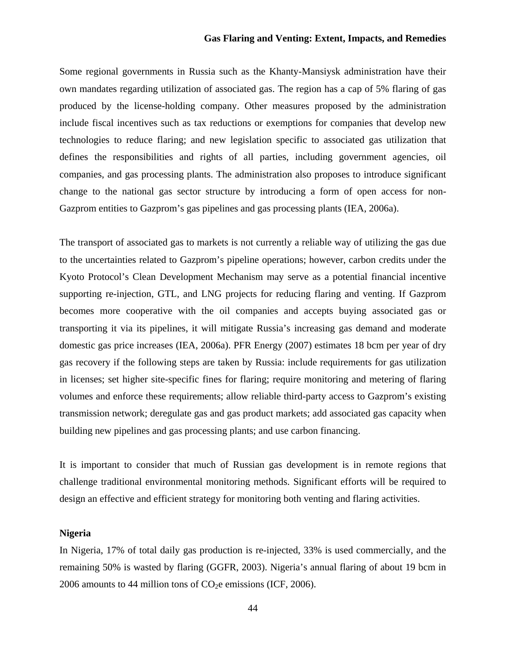Some regional governments in Russia such as the Khanty-Mansiysk administration have their own mandates regarding utilization of associated gas. The region has a cap of 5% flaring of gas produced by the license-holding company. Other measures proposed by the administration include fiscal incentives such as tax reductions or exemptions for companies that develop new technologies to reduce flaring; and new legislation specific to associated gas utilization that defines the responsibilities and rights of all parties, including government agencies, oil companies, and gas processing plants. The administration also proposes to introduce significant change to the national gas sector structure by introducing a form of open access for non-Gazprom entities to Gazprom's gas pipelines and gas processing plants (IEA, 2006a).

The transport of associated gas to markets is not currently a reliable way of utilizing the gas due to the uncertainties related to Gazprom's pipeline operations; however, carbon credits under the Kyoto Protocol's Clean Development Mechanism may serve as a potential financial incentive supporting re-injection, GTL, and LNG projects for reducing flaring and venting. If Gazprom becomes more cooperative with the oil companies and accepts buying associated gas or transporting it via its pipelines, it will mitigate Russia's increasing gas demand and moderate domestic gas price increases (IEA, 2006a). PFR Energy (2007) estimates 18 bcm per year of dry gas recovery if the following steps are taken by Russia: include requirements for gas utilization in licenses; set higher site-specific fines for flaring; require monitoring and metering of flaring volumes and enforce these requirements; allow reliable third-party access to Gazprom's existing transmission network; deregulate gas and gas product markets; add associated gas capacity when building new pipelines and gas processing plants; and use carbon financing.

It is important to consider that much of Russian gas development is in remote regions that challenge traditional environmental monitoring methods. Significant efforts will be required to design an effective and efficient strategy for monitoring both venting and flaring activities.

## **Nigeria**

In Nigeria, 17% of total daily gas production is re-injected, 33% is used commercially, and the remaining 50% is wasted by flaring (GGFR, 2003). Nigeria's annual flaring of about 19 bcm in 2006 amounts to 44 million tons of  $CO<sub>2</sub>e$  emissions (ICF, 2006).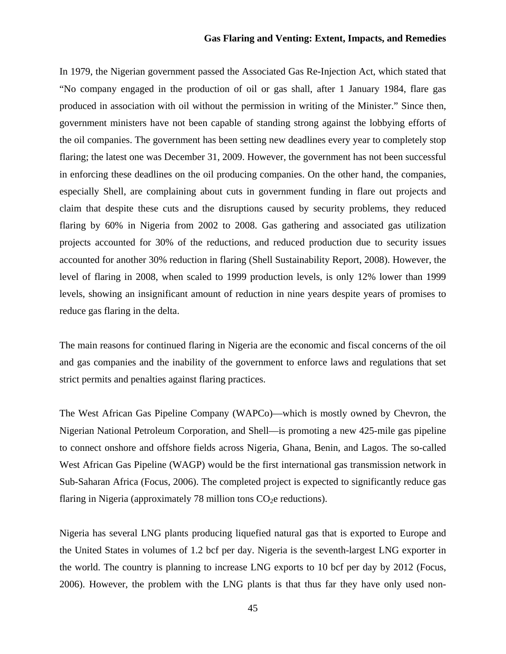In 1979, the Nigerian government passed the Associated Gas Re-Injection Act, which stated that "No company engaged in the production of oil or gas shall, after 1 January 1984, flare gas produced in association with oil without the permission in writing of the Minister." Since then, government ministers have not been capable of standing strong against the lobbying efforts of the oil companies. The government has been setting new deadlines every year to completely stop flaring; the latest one was December 31, 2009. However, the government has not been successful in enforcing these deadlines on the oil producing companies. On the other hand, the companies, especially Shell, are complaining about cuts in government funding in flare out projects and claim that despite these cuts and the disruptions caused by security problems, they reduced flaring by 60% in Nigeria from 2002 to 2008. Gas gathering and associated gas utilization projects accounted for 30% of the reductions, and reduced production due to security issues accounted for another 30% reduction in flaring (Shell Sustainability Report, 2008). However, the level of flaring in 2008, when scaled to 1999 production levels, is only 12% lower than 1999 levels, showing an insignificant amount of reduction in nine years despite years of promises to reduce gas flaring in the delta.

The main reasons for continued flaring in Nigeria are the economic and fiscal concerns of the oil and gas companies and the inability of the government to enforce laws and regulations that set strict permits and penalties against flaring practices.

The West African Gas Pipeline Company (WAPCo)—which is mostly owned by Chevron, the Nigerian National Petroleum Corporation, and Shell—is promoting a new 425-mile gas pipeline to connect onshore and offshore fields across Nigeria, Ghana, Benin, and Lagos. The so-called West African Gas Pipeline (WAGP) would be the first international gas transmission network in Sub-Saharan Africa (Focus, 2006). The completed project is expected to significantly reduce gas flaring in Nigeria (approximately 78 million tons  $CO<sub>2</sub>e$  reductions).

Nigeria has several LNG plants producing liquefied natural gas that is exported to Europe and the United States in volumes of 1.2 bcf per day. Nigeria is the seventh-largest LNG exporter in the world. The country is planning to increase LNG exports to 10 bcf per day by 2012 (Focus, 2006). However, the problem with the LNG plants is that thus far they have only used non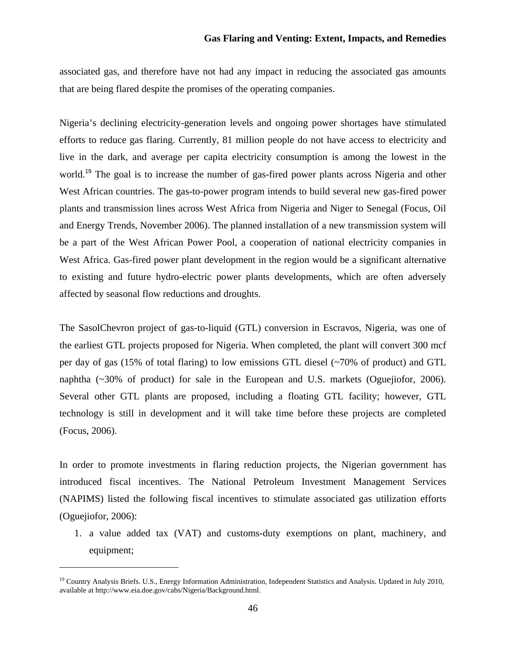associated gas, and therefore have not had any impact in reducing the associated gas amounts that are being flared despite the promises of the operating companies.

Nigeria's declining electricity-generation levels and ongoing power shortages have stimulated efforts to reduce gas flaring. Currently, 81 million people do not have access to electricity and live in the dark, and average per capita electricity consumption is among the lowest in the world.<sup>19</sup> The goal is to increase the number of gas-fired power plants across Nigeria and other West African countries. The gas-to-power program intends to build several new gas-fired power plants and transmission lines across West Africa from Nigeria and Niger to Senegal (Focus, Oil and Energy Trends, November 2006). The planned installation of a new transmission system will be a part of the West African Power Pool, a cooperation of national electricity companies in West Africa. Gas-fired power plant development in the region would be a significant alternative to existing and future hydro-electric power plants developments, which are often adversely affected by seasonal flow reductions and droughts.

The SasolChevron project of gas-to-liquid (GTL) conversion in Escravos, Nigeria, was one of the earliest GTL projects proposed for Nigeria. When completed, the plant will convert 300 mcf per day of gas (15% of total flaring) to low emissions GTL diesel (~70% of product) and GTL naphtha (~30% of product) for sale in the European and U.S. markets (Oguejiofor, 2006). Several other GTL plants are proposed, including a floating GTL facility; however, GTL technology is still in development and it will take time before these projects are completed (Focus, 2006).

In order to promote investments in flaring reduction projects, the Nigerian government has introduced fiscal incentives. The National Petroleum Investment Management Services (NAPIMS) listed the following fiscal incentives to stimulate associated gas utilization efforts (Oguejiofor, 2006):

1. a value added tax (VAT) and customs-duty exemptions on plant, machinery, and equipment;

<sup>&</sup>lt;sup>19</sup> Country Analysis Briefs. U.S., Energy Information Administration, Independent Statistics and Analysis. Updated in July 2010, available at http://www.eia.doe.gov/cabs/Nigeria/Background.html.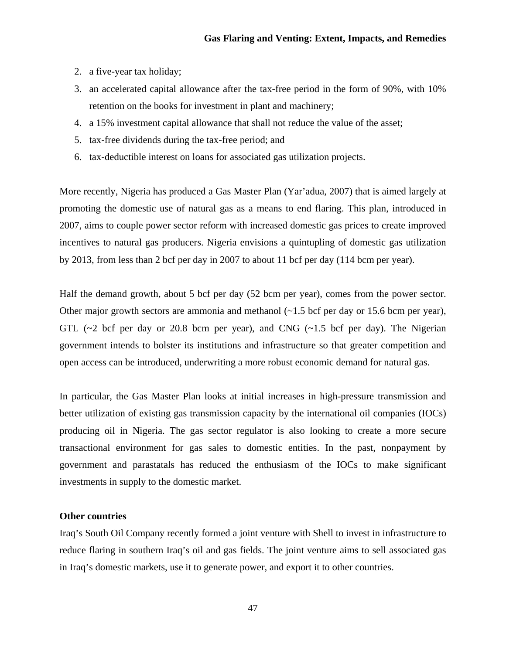- 2. a five-year tax holiday;
- 3. an accelerated capital allowance after the tax-free period in the form of 90%, with 10% retention on the books for investment in plant and machinery;
- 4. a 15% investment capital allowance that shall not reduce the value of the asset;
- 5. tax-free dividends during the tax-free period; and
- 6. tax-deductible interest on loans for associated gas utilization projects.

More recently, Nigeria has produced a Gas Master Plan (Yar'adua, 2007) that is aimed largely at promoting the domestic use of natural gas as a means to end flaring. This plan, introduced in 2007, aims to couple power sector reform with increased domestic gas prices to create improved incentives to natural gas producers. Nigeria envisions a quintupling of domestic gas utilization by 2013, from less than 2 bcf per day in 2007 to about 11 bcf per day (114 bcm per year).

Half the demand growth, about 5 bcf per day (52 bcm per year), comes from the power sector. Other major growth sectors are ammonia and methanol (~1.5 bcf per day or 15.6 bcm per year), GTL  $(\sim 2$  bcf per day or 20.8 bcm per year), and CNG  $(\sim 1.5$  bcf per day). The Nigerian government intends to bolster its institutions and infrastructure so that greater competition and open access can be introduced, underwriting a more robust economic demand for natural gas.

In particular, the Gas Master Plan looks at initial increases in high-pressure transmission and better utilization of existing gas transmission capacity by the international oil companies (IOCs) producing oil in Nigeria. The gas sector regulator is also looking to create a more secure transactional environment for gas sales to domestic entities. In the past, nonpayment by government and parastatals has reduced the enthusiasm of the IOCs to make significant investments in supply to the domestic market.

#### **Other countries**

Iraq's South Oil Company recently formed a joint venture with Shell to invest in infrastructure to reduce flaring in southern Iraq's oil and gas fields. The joint venture aims to sell associated gas in Iraq's domestic markets, use it to generate power, and export it to other countries.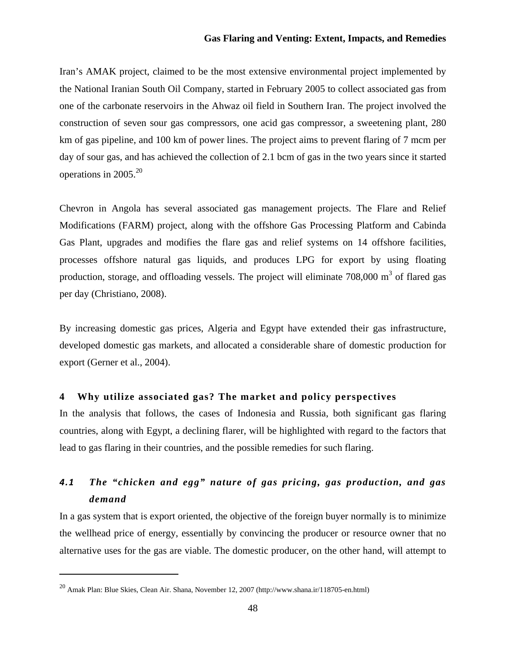Iran's AMAK project, claimed to be the most extensive environmental project implemented by the National Iranian South Oil Company, started in February 2005 to collect associated gas from one of the carbonate reservoirs in the Ahwaz oil field in Southern Iran. The project involved the construction of seven sour gas compressors, one acid gas compressor, a sweetening plant, 280 km of gas pipeline, and 100 km of power lines. The project aims to prevent flaring of 7 mcm per day of sour gas, and has achieved the collection of 2.1 bcm of gas in the two years since it started operations in  $2005.<sup>20</sup>$ 

Chevron in Angola has several associated gas management projects. The Flare and Relief Modifications (FARM) project, along with the offshore Gas Processing Platform and Cabinda Gas Plant, upgrades and modifies the flare gas and relief systems on 14 offshore facilities, processes offshore natural gas liquids, and produces LPG for export by using floating production, storage, and offloading vessels. The project will eliminate  $708,000 \text{ m}^3$  of flared gas per day (Christiano, 2008).

By increasing domestic gas prices, Algeria and Egypt have extended their gas infrastructure, developed domestic gas markets, and allocated a considerable share of domestic production for export (Gerner et al., 2004).

## **4 Why utilize associated gas? The market and policy perspectives**

In the analysis that follows, the cases of Indonesia and Russia, both significant gas flaring countries, along with Egypt, a declining flarer, will be highlighted with regard to the factors that lead to gas flaring in their countries, and the possible remedies for such flaring.

# *4.1 The "chicken and egg" nature of gas pricing, gas production, and gas demand*

In a gas system that is export oriented, the objective of the foreign buyer normally is to minimize the wellhead price of energy, essentially by convincing the producer or resource owner that no alternative uses for the gas are viable. The domestic producer, on the other hand, will attempt to

 $^{20}$  Amak Plan: Blue Skies, Clean Air. Shana, November 12, 2007 (http://www.shana.ir/118705-en.html)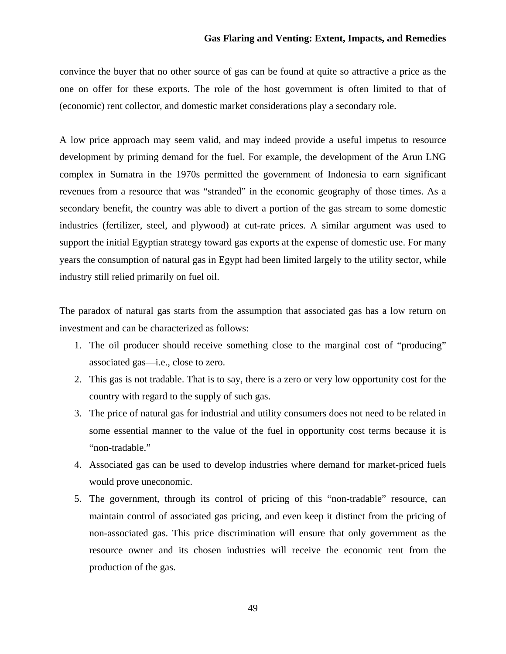convince the buyer that no other source of gas can be found at quite so attractive a price as the one on offer for these exports. The role of the host government is often limited to that of (economic) rent collector, and domestic market considerations play a secondary role.

A low price approach may seem valid, and may indeed provide a useful impetus to resource development by priming demand for the fuel. For example, the development of the Arun LNG complex in Sumatra in the 1970s permitted the government of Indonesia to earn significant revenues from a resource that was "stranded" in the economic geography of those times. As a secondary benefit, the country was able to divert a portion of the gas stream to some domestic industries (fertilizer, steel, and plywood) at cut-rate prices. A similar argument was used to support the initial Egyptian strategy toward gas exports at the expense of domestic use. For many years the consumption of natural gas in Egypt had been limited largely to the utility sector, while industry still relied primarily on fuel oil.

The paradox of natural gas starts from the assumption that associated gas has a low return on investment and can be characterized as follows:

- 1. The oil producer should receive something close to the marginal cost of "producing" associated gas—i.e., close to zero.
- 2. This gas is not tradable. That is to say, there is a zero or very low opportunity cost for the country with regard to the supply of such gas.
- 3. The price of natural gas for industrial and utility consumers does not need to be related in some essential manner to the value of the fuel in opportunity cost terms because it is "non-tradable."
- 4. Associated gas can be used to develop industries where demand for market-priced fuels would prove uneconomic.
- 5. The government, through its control of pricing of this "non-tradable" resource, can maintain control of associated gas pricing, and even keep it distinct from the pricing of non-associated gas. This price discrimination will ensure that only government as the resource owner and its chosen industries will receive the economic rent from the production of the gas.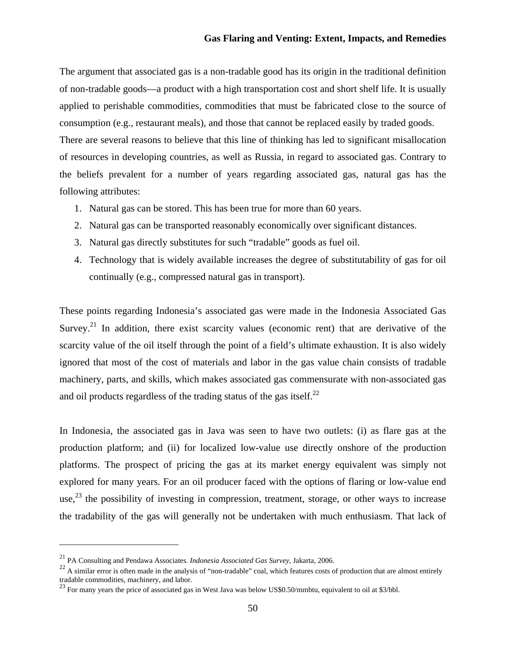The argument that associated gas is a non-tradable good has its origin in the traditional definition of non-tradable goods—a product with a high transportation cost and short shelf life. It is usually applied to perishable commodities, commodities that must be fabricated close to the source of consumption (e.g., restaurant meals), and those that cannot be replaced easily by traded goods. There are several reasons to believe that this line of thinking has led to significant misallocation of resources in developing countries, as well as Russia, in regard to associated gas. Contrary to the beliefs prevalent for a number of years regarding associated gas, natural gas has the following attributes:

- 1. Natural gas can be stored. This has been true for more than 60 years.
- 2. Natural gas can be transported reasonably economically over significant distances.
- 3. Natural gas directly substitutes for such "tradable" goods as fuel oil.
- 4. Technology that is widely available increases the degree of substitutability of gas for oil continually (e.g., compressed natural gas in transport).

These points regarding Indonesia's associated gas were made in the Indonesia Associated Gas Survey.<sup>21</sup> In addition, there exist scarcity values (economic rent) that are derivative of the scarcity value of the oil itself through the point of a field's ultimate exhaustion. It is also widely ignored that most of the cost of materials and labor in the gas value chain consists of tradable machinery, parts, and skills, which makes associated gas commensurate with non-associated gas and oil products regardless of the trading status of the gas itself.<sup>22</sup>

In Indonesia, the associated gas in Java was seen to have two outlets: (i) as flare gas at the production platform; and (ii) for localized low-value use directly onshore of the production platforms. The prospect of pricing the gas at its market energy equivalent was simply not explored for many years. For an oil producer faced with the options of flaring or low-value end use, $^{23}$  the possibility of investing in compression, treatment, storage, or other ways to increase the tradability of the gas will generally not be undertaken with much enthusiasm. That lack of

<sup>21</sup> PA Consulting and Pendawa Associates. *Indonesia Associated Gas Survey*, Jakarta, 2006.

 $22$  A similar error is often made in the analysis of "non-tradable" coal, which features costs of production that are almost entirely tradable commodities, machinery, and labor.

<sup>&</sup>lt;sup>23</sup> For many years the price of associated gas in West Java was below US\$0.50/mmbtu, equivalent to oil at \$3/bbl.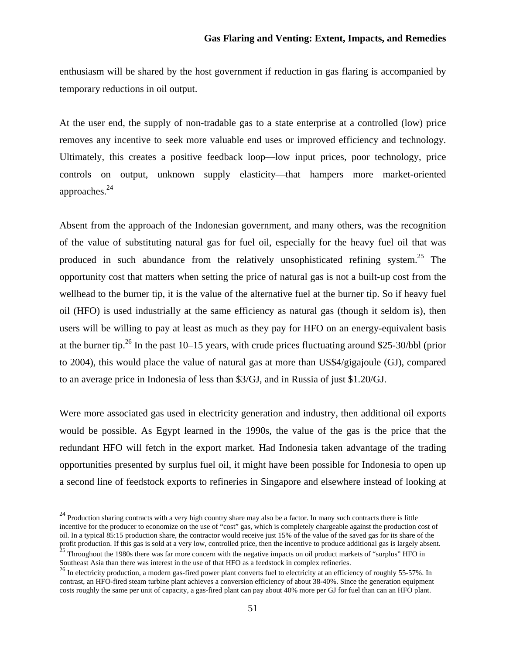enthusiasm will be shared by the host government if reduction in gas flaring is accompanied by temporary reductions in oil output.

At the user end, the supply of non-tradable gas to a state enterprise at a controlled (low) price removes any incentive to seek more valuable end uses or improved efficiency and technology. Ultimately, this creates a positive feedback loop—low input prices, poor technology, price controls on output, unknown supply elasticity—that hampers more market-oriented approaches.24

Absent from the approach of the Indonesian government, and many others, was the recognition of the value of substituting natural gas for fuel oil, especially for the heavy fuel oil that was produced in such abundance from the relatively unsophisticated refining system.<sup>25</sup> The opportunity cost that matters when setting the price of natural gas is not a built-up cost from the wellhead to the burner tip, it is the value of the alternative fuel at the burner tip. So if heavy fuel oil (HFO) is used industrially at the same efficiency as natural gas (though it seldom is), then users will be willing to pay at least as much as they pay for HFO on an energy-equivalent basis at the burner tip.<sup>26</sup> In the past 10–15 years, with crude prices fluctuating around \$25-30/bbl (prior to 2004), this would place the value of natural gas at more than US\$4/gigajoule (GJ), compared to an average price in Indonesia of less than \$3/GJ, and in Russia of just \$1.20/GJ.

Were more associated gas used in electricity generation and industry, then additional oil exports would be possible. As Egypt learned in the 1990s, the value of the gas is the price that the redundant HFO will fetch in the export market. Had Indonesia taken advantage of the trading opportunities presented by surplus fuel oil, it might have been possible for Indonesia to open up a second line of feedstock exports to refineries in Singapore and elsewhere instead of looking at

 $24$  Production sharing contracts with a very high country share may also be a factor. In many such contracts there is little incentive for the producer to economize on the use of "cost" gas, which is completely chargeable against the production cost of oil. In a typical 85:15 production share, the contractor would receive just 15% of the value of the saved gas for its share of the profit production. If this gas is sold at a very low, controlled price, then the incentive to produce additional gas is largely absent.  $^{25}$  Throughout the 1980s there was far more concern with the negative impacts on oil product markets of "surplus" HFO in Southeast Asia than there was interest in the use of that HFO as a feedstock in complex refineries.

 $^{26}$  In electricity production, a modern gas-fired power plant converts fuel to electricity at an efficiency of roughly 55-57%. In contrast, an HFO-fired steam turbine plant achieves a conversion efficiency of about 38-40%. Since the generation equipment costs roughly the same per unit of capacity, a gas-fired plant can pay about 40% more per GJ for fuel than can an HFO plant.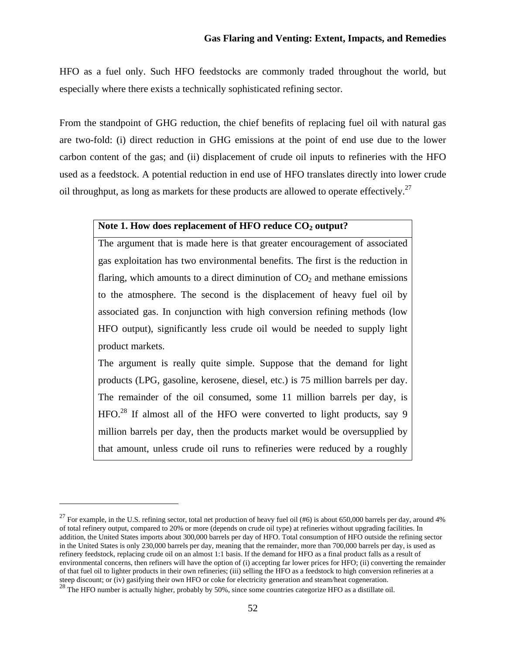HFO as a fuel only. Such HFO feedstocks are commonly traded throughout the world, but especially where there exists a technically sophisticated refining sector.

From the standpoint of GHG reduction, the chief benefits of replacing fuel oil with natural gas are two-fold: (i) direct reduction in GHG emissions at the point of end use due to the lower carbon content of the gas; and (ii) displacement of crude oil inputs to refineries with the HFO used as a feedstock. A potential reduction in end use of HFO translates directly into lower crude oil throughput, as long as markets for these products are allowed to operate effectively.<sup>27</sup>

## Note 1. How does replacement of HFO reduce CO<sub>2</sub> output?

The argument that is made here is that greater encouragement of associated gas exploitation has two environmental benefits. The first is the reduction in flaring, which amounts to a direct diminution of  $CO<sub>2</sub>$  and methane emissions to the atmosphere. The second is the displacement of heavy fuel oil by associated gas. In conjunction with high conversion refining methods (low HFO output), significantly less crude oil would be needed to supply light product markets.

The argument is really quite simple. Suppose that the demand for light products (LPG, gasoline, kerosene, diesel, etc.) is 75 million barrels per day. The remainder of the oil consumed, some 11 million barrels per day, is  $HFO.<sup>28</sup>$  If almost all of the HFO were converted to light products, say 9 million barrels per day, then the products market would be oversupplied by that amount, unless crude oil runs to refineries were reduced by a roughly

<sup>&</sup>lt;sup>27</sup> For example, in the U.S. refining sector, total net production of heavy fuel oil  $(\#6)$  is about 650,000 barrels per day, around 4% of total refinery output, compared to 20% or more (depends on crude oil type) at refineries without upgrading facilities. In addition, the United States imports about 300,000 barrels per day of HFO. Total consumption of HFO outside the refining sector in the United States is only 230,000 barrels per day, meaning that the remainder, more than 700,000 barrels per day, is used as refinery feedstock, replacing crude oil on an almost 1:1 basis. If the demand for HFO as a final product falls as a result of environmental concerns, then refiners will have the option of (i) accepting far lower prices for HFO; (ii) converting the remainder of that fuel oil to lighter products in their own refineries; (iii) selling the HFO as a feedstock to high conversion refineries at a steep discount; or (iv) gasifying their own HFO or coke for electricity generation and steam/heat cogeneration.

<sup>&</sup>lt;sup>28</sup> The HFO number is actually higher, probably by 50%, since some countries categorize HFO as a distillate oil.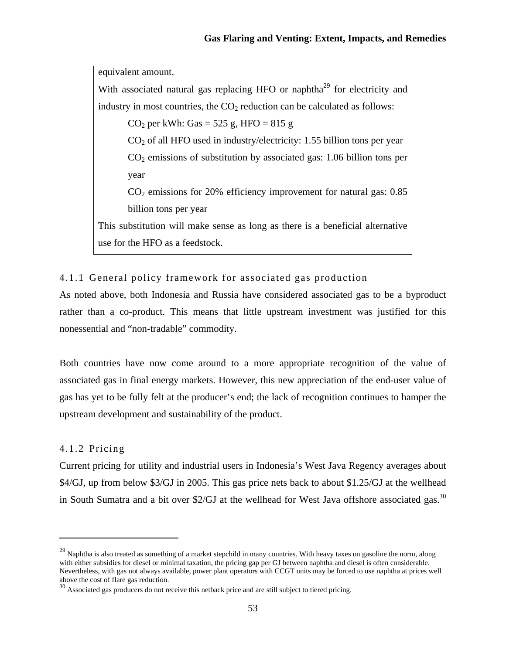equivalent amount. With associated natural gas replacing HFO or naphtha<sup>29</sup> for electricity and industry in most countries, the  $CO<sub>2</sub>$  reduction can be calculated as follows: CO<sub>2</sub> per kWh: Gas =  $525$  g, HFO =  $815$  g  $CO<sub>2</sub>$  of all HFO used in industry/electricity: 1.55 billion tons per year  $CO<sub>2</sub>$  emissions of substitution by associated gas: 1.06 billion tons per year  $CO<sub>2</sub>$  emissions for 20% efficiency improvement for natural gas: 0.85 billion tons per year This substitution will make sense as long as there is a beneficial alternative use for the HFO as a feedstock.

# 4.1.1 General policy framework for associated gas production

As noted above, both Indonesia and Russia have considered associated gas to be a byproduct rather than a co-product. This means that little upstream investment was justified for this nonessential and "non-tradable" commodity.

Both countries have now come around to a more appropriate recognition of the value of associated gas in final energy markets. However, this new appreciation of the end-user value of gas has yet to be fully felt at the producer's end; the lack of recognition continues to hamper the upstream development and sustainability of the product.

## 4.1.2 Pricing

Current pricing for utility and industrial users in Indonesia's West Java Regency averages about \$4/GJ, up from below \$3/GJ in 2005. This gas price nets back to about \$1.25/GJ at the wellhead in South Sumatra and a bit over \$2/GJ at the wellhead for West Java offshore associated gas.<sup>30</sup>

 $29$  Naphtha is also treated as something of a market stepchild in many countries. With heavy taxes on gasoline the norm, along with either subsidies for diesel or minimal taxation, the pricing gap per GJ between naphtha and diesel is often considerable. Nevertheless, with gas not always available, power plant operators with CCGT units may be forced to use naphtha at prices well above the cost of flare gas reduction.

 $30$  Associated gas producers do not receive this netback price and are still subject to tiered pricing.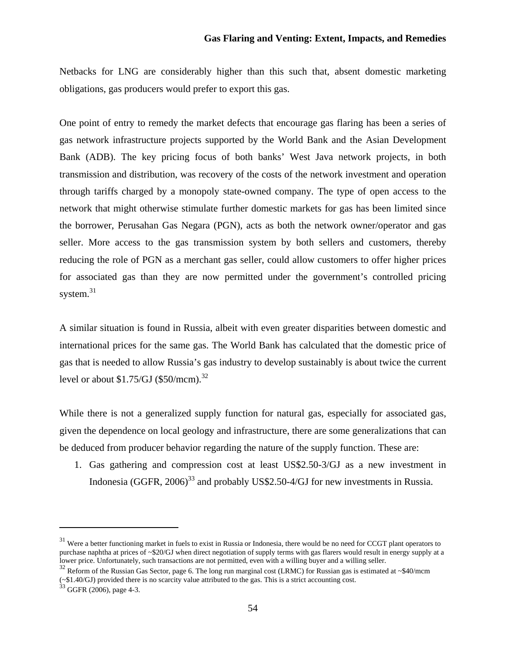Netbacks for LNG are considerably higher than this such that, absent domestic marketing obligations, gas producers would prefer to export this gas.

One point of entry to remedy the market defects that encourage gas flaring has been a series of gas network infrastructure projects supported by the World Bank and the Asian Development Bank (ADB). The key pricing focus of both banks' West Java network projects, in both transmission and distribution, was recovery of the costs of the network investment and operation through tariffs charged by a monopoly state-owned company. The type of open access to the network that might otherwise stimulate further domestic markets for gas has been limited since the borrower, Perusahan Gas Negara (PGN), acts as both the network owner/operator and gas seller. More access to the gas transmission system by both sellers and customers, thereby reducing the role of PGN as a merchant gas seller, could allow customers to offer higher prices for associated gas than they are now permitted under the government's controlled pricing system.<sup>31</sup>

A similar situation is found in Russia, albeit with even greater disparities between domestic and international prices for the same gas. The World Bank has calculated that the domestic price of gas that is needed to allow Russia's gas industry to develop sustainably is about twice the current level or about  $$1.75/GJ$  (\$50/mcm).<sup>32</sup>

While there is not a generalized supply function for natural gas, especially for associated gas, given the dependence on local geology and infrastructure, there are some generalizations that can be deduced from producer behavior regarding the nature of the supply function. These are:

1. Gas gathering and compression cost at least US\$2.50-3/GJ as a new investment in Indonesia (GGFR,  $2006$ <sup>33</sup> and probably US\$2.50-4/GJ for new investments in Russia.

<sup>&</sup>lt;sup>31</sup> Were a better functioning market in fuels to exist in Russia or Indonesia, there would be no need for CCGT plant operators to purchase naphtha at prices of ~\$20/GJ when direct negotiation of supply terms with gas flarers would result in energy supply at a lower price. Unfortunately, such transactions are not permitted, even with a willing buyer and a willing seller.

 $32$  Reform of the Russian Gas Sector, page 6. The long run marginal cost (LRMC) for Russian gas is estimated at ~\$40/mcm (~\$1.40/GJ) provided there is no scarcity value attributed to the gas. This is a strict accounting cost.

 $33$  GGFR (2006), page 4-3.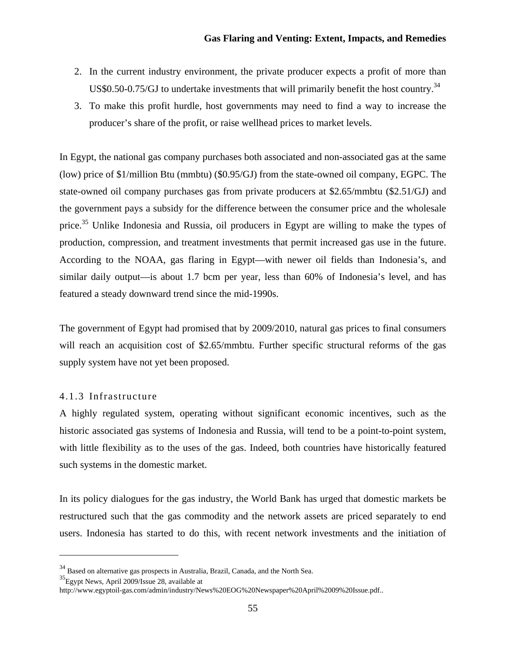- 2. In the current industry environment, the private producer expects a profit of more than US\$0.50-0.75/GJ to undertake investments that will primarily benefit the host country. $34$
- 3. To make this profit hurdle, host governments may need to find a way to increase the producer's share of the profit, or raise wellhead prices to market levels.

In Egypt, the national gas company purchases both associated and non-associated gas at the same (low) price of \$1/million Btu (mmbtu) (\$0.95/GJ) from the state-owned oil company, EGPC. The state-owned oil company purchases gas from private producers at \$2.65/mmbtu (\$2.51/GJ) and the government pays a subsidy for the difference between the consumer price and the wholesale price.<sup>35</sup> Unlike Indonesia and Russia, oil producers in Egypt are willing to make the types of production, compression, and treatment investments that permit increased gas use in the future. According to the NOAA, gas flaring in Egypt—with newer oil fields than Indonesia's, and similar daily output—is about 1.7 bcm per year, less than 60% of Indonesia's level, and has featured a steady downward trend since the mid-1990s.

The government of Egypt had promised that by 2009/2010, natural gas prices to final consumers will reach an acquisition cost of \$2.65/mmbtu. Further specific structural reforms of the gas supply system have not yet been proposed.

## 4.1.3 Infrastructure

A highly regulated system, operating without significant economic incentives, such as the historic associated gas systems of Indonesia and Russia, will tend to be a point-to-point system, with little flexibility as to the uses of the gas. Indeed, both countries have historically featured such systems in the domestic market.

In its policy dialogues for the gas industry, the World Bank has urged that domestic markets be restructured such that the gas commodity and the network assets are priced separately to end users. Indonesia has started to do this, with recent network investments and the initiation of

<sup>34</sup> Based on alternative gas prospects in Australia, Brazil, Canada, and the North Sea.

 ${}^{35}$ Egypt News, April 2009/Issue 28, available at

http://www.egyptoil-gas.com/admin/industry/News%20EOG%20Newspaper%20April%2009%20Issue.pdf..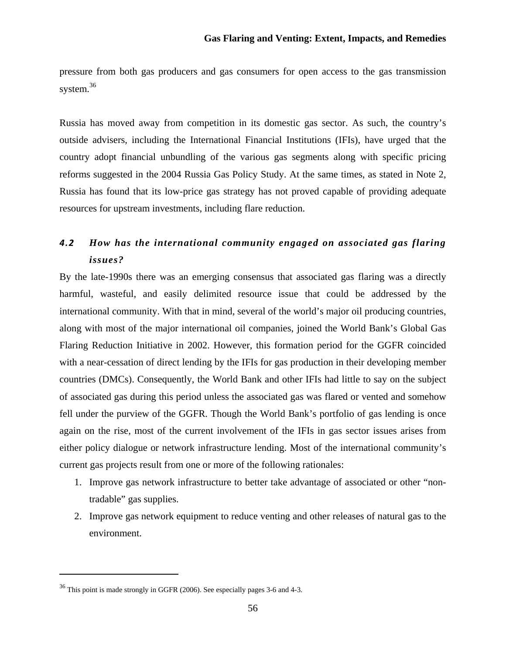pressure from both gas producers and gas consumers for open access to the gas transmission system.<sup>36</sup>

Russia has moved away from competition in its domestic gas sector. As such, the country's outside advisers, including the International Financial Institutions (IFIs), have urged that the country adopt financial unbundling of the various gas segments along with specific pricing reforms suggested in the 2004 Russia Gas Policy Study. At the same times, as stated in Note 2, Russia has found that its low-price gas strategy has not proved capable of providing adequate resources for upstream investments, including flare reduction.

# *4.2 How has the international community engaged on associated gas flaring issues?*

By the late-1990s there was an emerging consensus that associated gas flaring was a directly harmful, wasteful, and easily delimited resource issue that could be addressed by the international community. With that in mind, several of the world's major oil producing countries, along with most of the major international oil companies, joined the World Bank's Global Gas Flaring Reduction Initiative in 2002. However, this formation period for the GGFR coincided with a near-cessation of direct lending by the IFIs for gas production in their developing member countries (DMCs). Consequently, the World Bank and other IFIs had little to say on the subject of associated gas during this period unless the associated gas was flared or vented and somehow fell under the purview of the GGFR. Though the World Bank's portfolio of gas lending is once again on the rise, most of the current involvement of the IFIs in gas sector issues arises from either policy dialogue or network infrastructure lending. Most of the international community's current gas projects result from one or more of the following rationales:

- 1. Improve gas network infrastructure to better take advantage of associated or other "nontradable" gas supplies.
- 2. Improve gas network equipment to reduce venting and other releases of natural gas to the environment.

<sup>36</sup> This point is made strongly in GGFR (2006). See especially pages 3-6 and 4-3.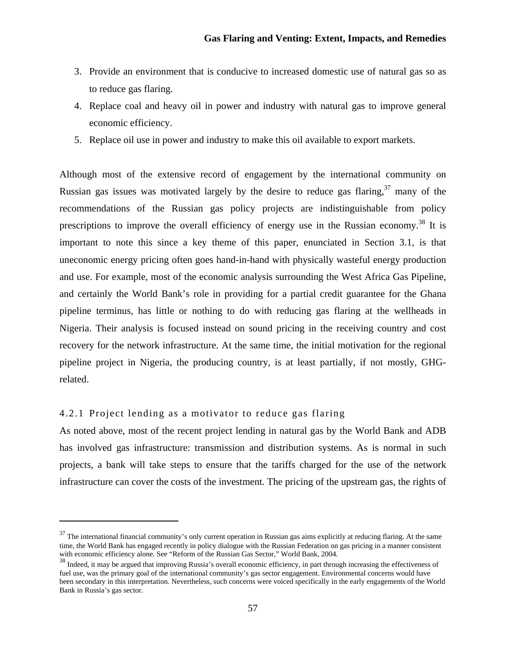- 3. Provide an environment that is conducive to increased domestic use of natural gas so as to reduce gas flaring.
- 4. Replace coal and heavy oil in power and industry with natural gas to improve general economic efficiency.
- 5. Replace oil use in power and industry to make this oil available to export markets.

Although most of the extensive record of engagement by the international community on Russian gas issues was motivated largely by the desire to reduce gas flaring,  $37 \text{ many of the}$ recommendations of the Russian gas policy projects are indistinguishable from policy prescriptions to improve the overall efficiency of energy use in the Russian economy.<sup>38</sup> It is important to note this since a key theme of this paper, enunciated in Section 3.1, is that uneconomic energy pricing often goes hand-in-hand with physically wasteful energy production and use. For example, most of the economic analysis surrounding the West Africa Gas Pipeline, and certainly the World Bank's role in providing for a partial credit guarantee for the Ghana pipeline terminus, has little or nothing to do with reducing gas flaring at the wellheads in Nigeria. Their analysis is focused instead on sound pricing in the receiving country and cost recovery for the network infrastructure. At the same time, the initial motivation for the regional pipeline project in Nigeria, the producing country, is at least partially, if not mostly, GHGrelated.

# 4.2.1 Project lending as a motivator to reduce gas flaring

As noted above, most of the recent project lending in natural gas by the World Bank and ADB has involved gas infrastructure: transmission and distribution systems. As is normal in such projects, a bank will take steps to ensure that the tariffs charged for the use of the network infrastructure can cover the costs of the investment. The pricing of the upstream gas, the rights of

 $37$  The international financial community's only current operation in Russian gas aims explicitly at reducing flaring. At the same time, the World Bank has engaged recently in policy dialogue with the Russian Federation on gas pricing in a manner consistent with economic efficiency alone. See "Reform of the Russian Gas Sector," World Bank, 2004.

<sup>&</sup>lt;sup>38</sup> Indeed, it may be argued that improving Russia's overall economic efficiency, in part through increasing the effectiveness of fuel use, was the primary goal of the international community's gas sector engagement. Environmental concerns would have been secondary in this interpretation. Nevertheless, such concerns were voiced specifically in the early engagements of the World Bank in Russia's gas sector.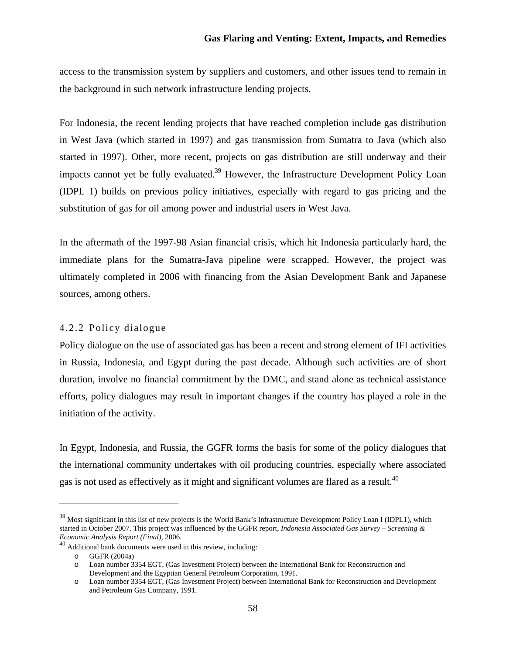access to the transmission system by suppliers and customers, and other issues tend to remain in the background in such network infrastructure lending projects.

For Indonesia, the recent lending projects that have reached completion include gas distribution in West Java (which started in 1997) and gas transmission from Sumatra to Java (which also started in 1997). Other, more recent, projects on gas distribution are still underway and their impacts cannot yet be fully evaluated.<sup>39</sup> However, the Infrastructure Development Policy Loan (IDPL 1) builds on previous policy initiatives, especially with regard to gas pricing and the substitution of gas for oil among power and industrial users in West Java.

In the aftermath of the 1997-98 Asian financial crisis, which hit Indonesia particularly hard, the immediate plans for the Sumatra-Java pipeline were scrapped. However, the project was ultimately completed in 2006 with financing from the Asian Development Bank and Japanese sources, among others.

## 4.2.2 Policy dialogue

Policy dialogue on the use of associated gas has been a recent and strong element of IFI activities in Russia, Indonesia, and Egypt during the past decade. Although such activities are of short duration, involve no financial commitment by the DMC, and stand alone as technical assistance efforts, policy dialogues may result in important changes if the country has played a role in the initiation of the activity.

In Egypt, Indonesia, and Russia, the GGFR forms the basis for some of the policy dialogues that the international community undertakes with oil producing countries, especially where associated gas is not used as effectively as it might and significant volumes are flared as a result.<sup>40</sup>

<sup>&</sup>lt;sup>39</sup> Most significant in this list of new projects is the World Bank's Infrastructure Development Policy Loan I (IDPL1), which started in October 2007. This project was influenced by the GGFR report, *Indonesia Associated Gas Survey – Screening & Economic Analysis Report (Final)*, 2006.

<sup>40</sup> Additional bank documents were used in this review, including:

o GGFR (2004a)

o Loan number 3354 EGT, (Gas Investment Project) between the International Bank for Reconstruction and Development and the Egyptian General Petroleum Corporation, 1991.

o Loan number 3354 EGT, (Gas Investment Project) between International Bank for Reconstruction and Development and Petroleum Gas Company, 1991.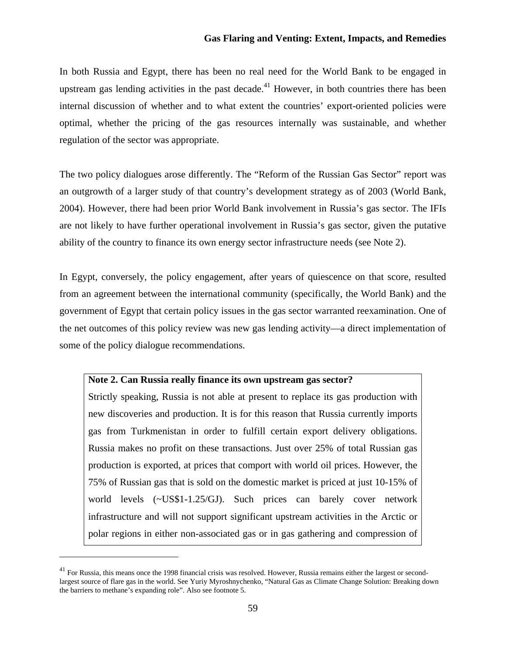In both Russia and Egypt, there has been no real need for the World Bank to be engaged in upstream gas lending activities in the past decade.<sup>41</sup> However, in both countries there has been internal discussion of whether and to what extent the countries' export-oriented policies were optimal, whether the pricing of the gas resources internally was sustainable, and whether regulation of the sector was appropriate.

The two policy dialogues arose differently. The "Reform of the Russian Gas Sector" report was an outgrowth of a larger study of that country's development strategy as of 2003 (World Bank, 2004). However, there had been prior World Bank involvement in Russia's gas sector. The IFIs are not likely to have further operational involvement in Russia's gas sector, given the putative ability of the country to finance its own energy sector infrastructure needs (see Note 2).

In Egypt, conversely, the policy engagement, after years of quiescence on that score, resulted from an agreement between the international community (specifically, the World Bank) and the government of Egypt that certain policy issues in the gas sector warranted reexamination. One of the net outcomes of this policy review was new gas lending activity—a direct implementation of some of the policy dialogue recommendations.

#### **Note 2. Can Russia really finance its own upstream gas sector?**

Strictly speaking, Russia is not able at present to replace its gas production with new discoveries and production. It is for this reason that Russia currently imports gas from Turkmenistan in order to fulfill certain export delivery obligations. Russia makes no profit on these transactions. Just over 25% of total Russian gas production is exported, at prices that comport with world oil prices. However, the 75% of Russian gas that is sold on the domestic market is priced at just 10-15% of world levels (~US\$1-1.25/GJ). Such prices can barely cover network infrastructure and will not support significant upstream activities in the Arctic or polar regions in either non-associated gas or in gas gathering and compression of

<sup>&</sup>lt;sup>41</sup> For Russia, this means once the 1998 financial crisis was resolved. However, Russia remains either the largest or secondlargest source of flare gas in the world. See Yuriy Myroshnychenko, "Natural Gas as Climate Change Solution: Breaking down the barriers to methane's expanding role". Also see footnote 5.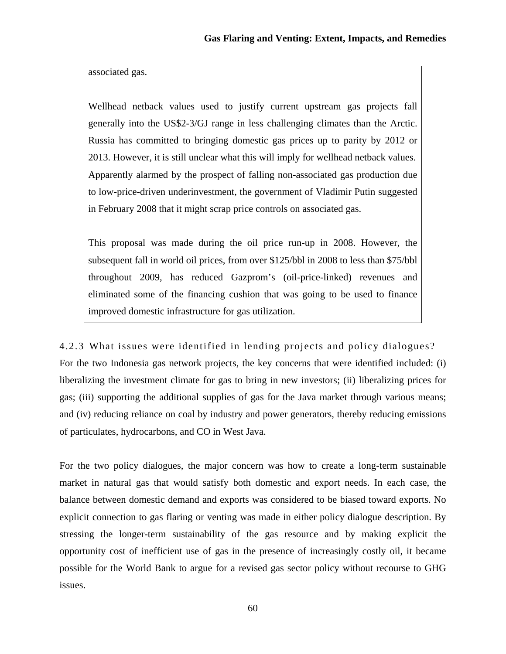associated gas.

Wellhead netback values used to justify current upstream gas projects fall generally into the US\$2-3/GJ range in less challenging climates than the Arctic. Russia has committed to bringing domestic gas prices up to parity by 2012 or 2013. However, it is still unclear what this will imply for wellhead netback values. Apparently alarmed by the prospect of falling non-associated gas production due to low-price-driven underinvestment, the government of Vladimir Putin suggested in February 2008 that it might scrap price controls on associated gas.

This proposal was made during the oil price run-up in 2008. However, the subsequent fall in world oil prices, from over \$125/bbl in 2008 to less than \$75/bbl throughout 2009, has reduced Gazprom's (oil-price-linked) revenues and eliminated some of the financing cushion that was going to be used to finance improved domestic infrastructure for gas utilization.

4.2.3 What issues were identified in lending projects and policy dialogues? For the two Indonesia gas network projects, the key concerns that were identified included: (i) liberalizing the investment climate for gas to bring in new investors; (ii) liberalizing prices for gas; (iii) supporting the additional supplies of gas for the Java market through various means; and (iv) reducing reliance on coal by industry and power generators, thereby reducing emissions of particulates, hydrocarbons, and CO in West Java.

For the two policy dialogues, the major concern was how to create a long-term sustainable market in natural gas that would satisfy both domestic and export needs. In each case, the balance between domestic demand and exports was considered to be biased toward exports. No explicit connection to gas flaring or venting was made in either policy dialogue description. By stressing the longer-term sustainability of the gas resource and by making explicit the opportunity cost of inefficient use of gas in the presence of increasingly costly oil, it became possible for the World Bank to argue for a revised gas sector policy without recourse to GHG issues.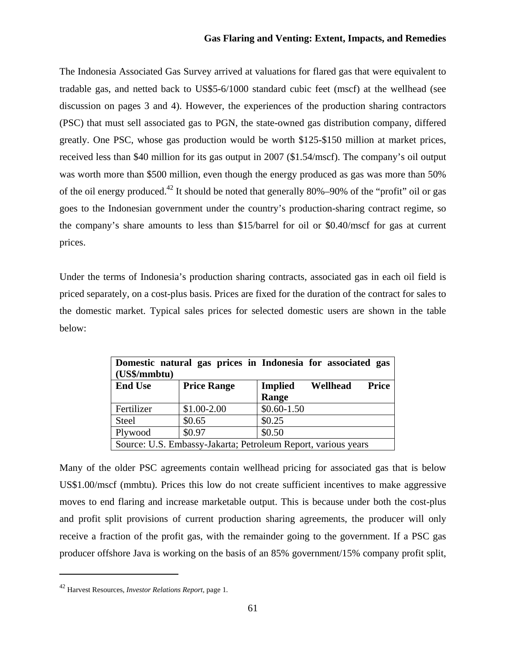The Indonesia Associated Gas Survey arrived at valuations for flared gas that were equivalent to tradable gas, and netted back to US\$5-6/1000 standard cubic feet (mscf) at the wellhead (see discussion on pages 3 and 4). However, the experiences of the production sharing contractors (PSC) that must sell associated gas to PGN, the state-owned gas distribution company, differed greatly. One PSC, whose gas production would be worth \$125-\$150 million at market prices, received less than \$40 million for its gas output in 2007 (\$1.54/mscf). The company's oil output was worth more than \$500 million, even though the energy produced as gas was more than 50% of the oil energy produced.<sup>42</sup> It should be noted that generally 80%–90% of the "profit" oil or gas goes to the Indonesian government under the country's production-sharing contract regime, so the company's share amounts to less than \$15/barrel for oil or \$0.40/mscf for gas at current prices.

Under the terms of Indonesia's production sharing contracts, associated gas in each oil field is priced separately, on a cost-plus basis. Prices are fixed for the duration of the contract for sales to the domestic market. Typical sales prices for selected domestic users are shown in the table below:

| Domestic natural gas prices in Indonesia for associated gas<br>(US\$/mmbtu) |                    |                                                     |
|-----------------------------------------------------------------------------|--------------------|-----------------------------------------------------|
| <b>End Use</b>                                                              | <b>Price Range</b> | <b>Price</b><br><b>Implied</b><br>Wellhead<br>Range |
| Fertilizer                                                                  | $$1.00-2.00$       | $$0.60-1.50$                                        |
| <b>Steel</b>                                                                | \$0.65             | \$0.25                                              |
| Plywood                                                                     | \$0.97             | \$0.50                                              |
| Source: U.S. Embassy-Jakarta; Petroleum Report, various years               |                    |                                                     |

Many of the older PSC agreements contain wellhead pricing for associated gas that is below US\$1.00/mscf (mmbtu). Prices this low do not create sufficient incentives to make aggressive moves to end flaring and increase marketable output. This is because under both the cost-plus and profit split provisions of current production sharing agreements, the producer will only receive a fraction of the profit gas, with the remainder going to the government. If a PSC gas producer offshore Java is working on the basis of an 85% government/15% company profit split,

<sup>42</sup> Harvest Resources, *Investor Relations Report*, page 1.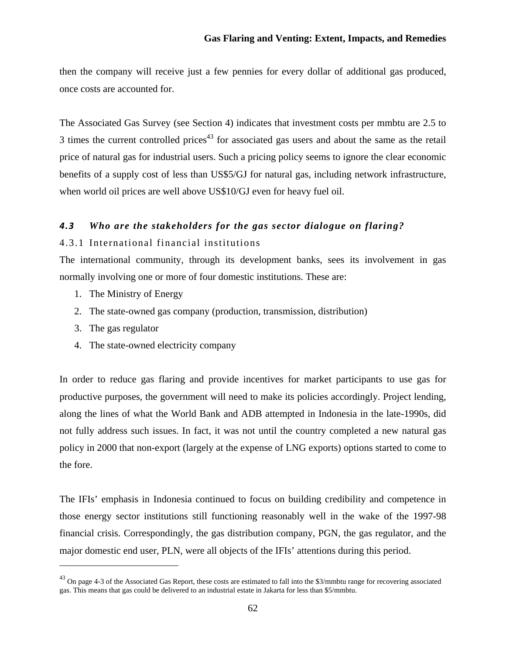then the company will receive just a few pennies for every dollar of additional gas produced, once costs are accounted for.

The Associated Gas Survey (see Section 4) indicates that investment costs per mmbtu are 2.5 to  $3$  times the current controlled prices<sup>43</sup> for associated gas users and about the same as the retail price of natural gas for industrial users. Such a pricing policy seems to ignore the clear economic benefits of a supply cost of less than US\$5/GJ for natural gas, including network infrastructure, when world oil prices are well above US\$10/GJ even for heavy fuel oil.

# *4.3 Who are the stakeholders for the gas sector dialogue on flaring?*

## 4.3.1 International financial institutions

The international community, through its development banks, sees its involvement in gas normally involving one or more of four domestic institutions. These are:

- 1. The Ministry of Energy
- 2. The state-owned gas company (production, transmission, distribution)
- 3. The gas regulator

4. The state-owned electricity company

In order to reduce gas flaring and provide incentives for market participants to use gas for productive purposes, the government will need to make its policies accordingly. Project lending, along the lines of what the World Bank and ADB attempted in Indonesia in the late-1990s, did not fully address such issues. In fact, it was not until the country completed a new natural gas policy in 2000 that non-export (largely at the expense of LNG exports) options started to come to the fore.

The IFIs' emphasis in Indonesia continued to focus on building credibility and competence in those energy sector institutions still functioning reasonably well in the wake of the 1997-98 financial crisis. Correspondingly, the gas distribution company, PGN, the gas regulator, and the major domestic end user, PLN, were all objects of the IFIs' attentions during this period.

 $^{43}$  On page 4-3 of the Associated Gas Report, these costs are estimated to fall into the \$3/mmbtu range for recovering associated gas. This means that gas could be delivered to an industrial estate in Jakarta for less than \$5/mmbtu.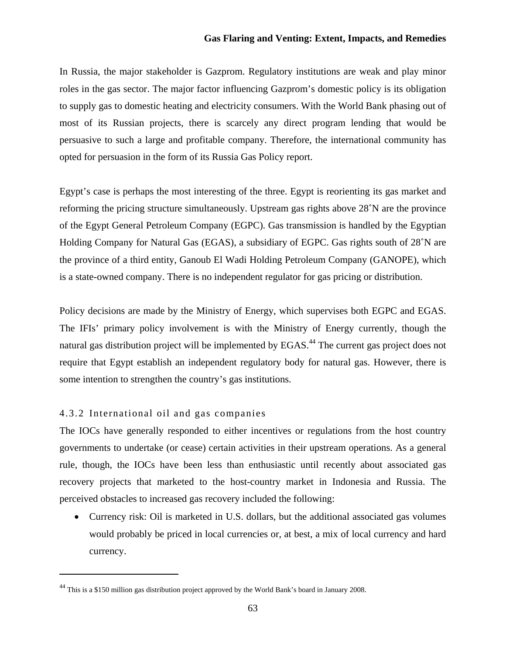In Russia, the major stakeholder is Gazprom. Regulatory institutions are weak and play minor roles in the gas sector. The major factor influencing Gazprom's domestic policy is its obligation to supply gas to domestic heating and electricity consumers. With the World Bank phasing out of most of its Russian projects, there is scarcely any direct program lending that would be persuasive to such a large and profitable company. Therefore, the international community has opted for persuasion in the form of its Russia Gas Policy report.

Egypt's case is perhaps the most interesting of the three. Egypt is reorienting its gas market and reforming the pricing structure simultaneously. Upstream gas rights above 28˚N are the province of the Egypt General Petroleum Company (EGPC). Gas transmission is handled by the Egyptian Holding Company for Natural Gas (EGAS), a subsidiary of EGPC. Gas rights south of 28˚N are the province of a third entity, Ganoub El Wadi Holding Petroleum Company (GANOPE), which is a state-owned company. There is no independent regulator for gas pricing or distribution.

Policy decisions are made by the Ministry of Energy, which supervises both EGPC and EGAS. The IFIs' primary policy involvement is with the Ministry of Energy currently, though the natural gas distribution project will be implemented by EGAS.<sup>44</sup> The current gas project does not require that Egypt establish an independent regulatory body for natural gas. However, there is some intention to strengthen the country's gas institutions.

## 4.3.2 International oil and gas companies

The IOCs have generally responded to either incentives or regulations from the host country governments to undertake (or cease) certain activities in their upstream operations. As a general rule, though, the IOCs have been less than enthusiastic until recently about associated gas recovery projects that marketed to the host-country market in Indonesia and Russia. The perceived obstacles to increased gas recovery included the following:

• Currency risk: Oil is marketed in U.S. dollars, but the additional associated gas volumes would probably be priced in local currencies or, at best, a mix of local currency and hard currency.

<sup>44</sup> This is a \$150 million gas distribution project approved by the World Bank's board in January 2008.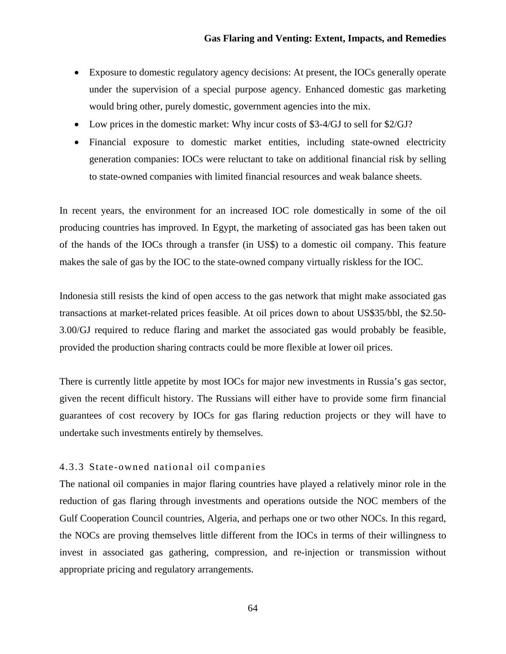- Exposure to domestic regulatory agency decisions: At present, the IOCs generally operate under the supervision of a special purpose agency. Enhanced domestic gas marketing would bring other, purely domestic, government agencies into the mix.
- Low prices in the domestic market: Why incur costs of \$3-4/GJ to sell for \$2/GJ?
- Financial exposure to domestic market entities, including state-owned electricity generation companies: IOCs were reluctant to take on additional financial risk by selling to state-owned companies with limited financial resources and weak balance sheets.

In recent years, the environment for an increased IOC role domestically in some of the oil producing countries has improved. In Egypt, the marketing of associated gas has been taken out of the hands of the IOCs through a transfer (in US\$) to a domestic oil company. This feature makes the sale of gas by the IOC to the state-owned company virtually riskless for the IOC.

Indonesia still resists the kind of open access to the gas network that might make associated gas transactions at market-related prices feasible. At oil prices down to about US\$35/bbl, the \$2.50- 3.00/GJ required to reduce flaring and market the associated gas would probably be feasible, provided the production sharing contracts could be more flexible at lower oil prices.

There is currently little appetite by most IOCs for major new investments in Russia's gas sector, given the recent difficult history. The Russians will either have to provide some firm financial guarantees of cost recovery by IOCs for gas flaring reduction projects or they will have to undertake such investments entirely by themselves.

## 4.3.3 State-owned national oil companies

The national oil companies in major flaring countries have played a relatively minor role in the reduction of gas flaring through investments and operations outside the NOC members of the Gulf Cooperation Council countries, Algeria, and perhaps one or two other NOCs. In this regard, the NOCs are proving themselves little different from the IOCs in terms of their willingness to invest in associated gas gathering, compression, and re-injection or transmission without appropriate pricing and regulatory arrangements.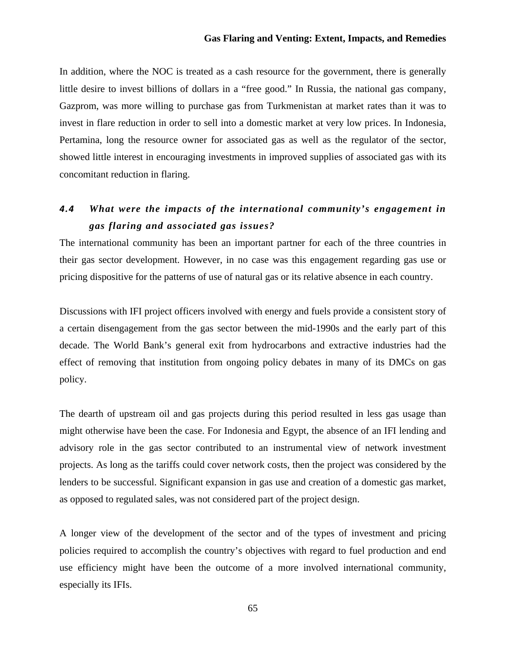In addition, where the NOC is treated as a cash resource for the government, there is generally little desire to invest billions of dollars in a "free good." In Russia, the national gas company, Gazprom, was more willing to purchase gas from Turkmenistan at market rates than it was to invest in flare reduction in order to sell into a domestic market at very low prices. In Indonesia, Pertamina, long the resource owner for associated gas as well as the regulator of the sector, showed little interest in encouraging investments in improved supplies of associated gas with its concomitant reduction in flaring.

# *4.4 What were the impacts of the international community's engagement in gas flaring and associated gas issues?*

The international community has been an important partner for each of the three countries in their gas sector development. However, in no case was this engagement regarding gas use or pricing dispositive for the patterns of use of natural gas or its relative absence in each country.

Discussions with IFI project officers involved with energy and fuels provide a consistent story of a certain disengagement from the gas sector between the mid-1990s and the early part of this decade. The World Bank's general exit from hydrocarbons and extractive industries had the effect of removing that institution from ongoing policy debates in many of its DMCs on gas policy.

The dearth of upstream oil and gas projects during this period resulted in less gas usage than might otherwise have been the case. For Indonesia and Egypt, the absence of an IFI lending and advisory role in the gas sector contributed to an instrumental view of network investment projects. As long as the tariffs could cover network costs, then the project was considered by the lenders to be successful. Significant expansion in gas use and creation of a domestic gas market, as opposed to regulated sales, was not considered part of the project design.

A longer view of the development of the sector and of the types of investment and pricing policies required to accomplish the country's objectives with regard to fuel production and end use efficiency might have been the outcome of a more involved international community, especially its IFIs.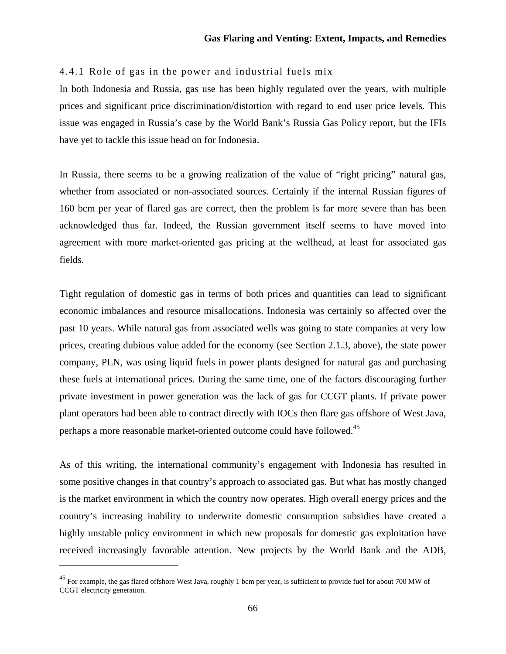## 4.4.1 Role of gas in the power and industrial fuels mix

In both Indonesia and Russia, gas use has been highly regulated over the years, with multiple prices and significant price discrimination/distortion with regard to end user price levels. This issue was engaged in Russia's case by the World Bank's Russia Gas Policy report, but the IFIs have yet to tackle this issue head on for Indonesia.

In Russia, there seems to be a growing realization of the value of "right pricing" natural gas, whether from associated or non-associated sources. Certainly if the internal Russian figures of 160 bcm per year of flared gas are correct, then the problem is far more severe than has been acknowledged thus far. Indeed, the Russian government itself seems to have moved into agreement with more market-oriented gas pricing at the wellhead, at least for associated gas fields.

Tight regulation of domestic gas in terms of both prices and quantities can lead to significant economic imbalances and resource misallocations. Indonesia was certainly so affected over the past 10 years. While natural gas from associated wells was going to state companies at very low prices, creating dubious value added for the economy (see Section 2.1.3, above), the state power company, PLN, was using liquid fuels in power plants designed for natural gas and purchasing these fuels at international prices. During the same time, one of the factors discouraging further private investment in power generation was the lack of gas for CCGT plants. If private power plant operators had been able to contract directly with IOCs then flare gas offshore of West Java, perhaps a more reasonable market-oriented outcome could have followed.<sup>45</sup>

As of this writing, the international community's engagement with Indonesia has resulted in some positive changes in that country's approach to associated gas. But what has mostly changed is the market environment in which the country now operates. High overall energy prices and the country's increasing inability to underwrite domestic consumption subsidies have created a highly unstable policy environment in which new proposals for domestic gas exploitation have received increasingly favorable attention. New projects by the World Bank and the ADB,

<sup>&</sup>lt;sup>45</sup> For example, the gas flared offshore West Java, roughly 1 bcm per year, is sufficient to provide fuel for about 700 MW of CCGT electricity generation.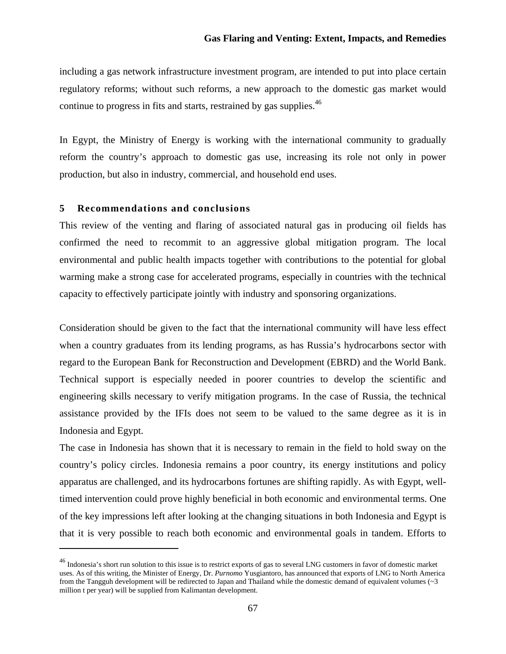including a gas network infrastructure investment program, are intended to put into place certain regulatory reforms; without such reforms, a new approach to the domestic gas market would continue to progress in fits and starts, restrained by gas supplies.<sup>46</sup>

In Egypt, the Ministry of Energy is working with the international community to gradually reform the country's approach to domestic gas use, increasing its role not only in power production, but also in industry, commercial, and household end uses.

## **5 Recommendations and conclusions**

This review of the venting and flaring of associated natural gas in producing oil fields has confirmed the need to recommit to an aggressive global mitigation program. The local environmental and public health impacts together with contributions to the potential for global warming make a strong case for accelerated programs, especially in countries with the technical capacity to effectively participate jointly with industry and sponsoring organizations.

Consideration should be given to the fact that the international community will have less effect when a country graduates from its lending programs, as has Russia's hydrocarbons sector with regard to the European Bank for Reconstruction and Development (EBRD) and the World Bank. Technical support is especially needed in poorer countries to develop the scientific and engineering skills necessary to verify mitigation programs. In the case of Russia, the technical assistance provided by the IFIs does not seem to be valued to the same degree as it is in Indonesia and Egypt.

The case in Indonesia has shown that it is necessary to remain in the field to hold sway on the country's policy circles. Indonesia remains a poor country, its energy institutions and policy apparatus are challenged, and its hydrocarbons fortunes are shifting rapidly. As with Egypt, welltimed intervention could prove highly beneficial in both economic and environmental terms. One of the key impressions left after looking at the changing situations in both Indonesia and Egypt is that it is very possible to reach both economic and environmental goals in tandem. Efforts to

<sup>&</sup>lt;sup>46</sup> Indonesia's short run solution to this issue is to restrict exports of gas to several LNG customers in favor of domestic market uses. As of this writing, the Minister of Energy, Dr. *Purnomo* Yusgiantoro, has announced that exports of LNG to North America from the Tangguh development will be redirected to Japan and Thailand while the domestic demand of equivalent volumes ( $\sim$ 3) million t per year) will be supplied from Kalimantan development.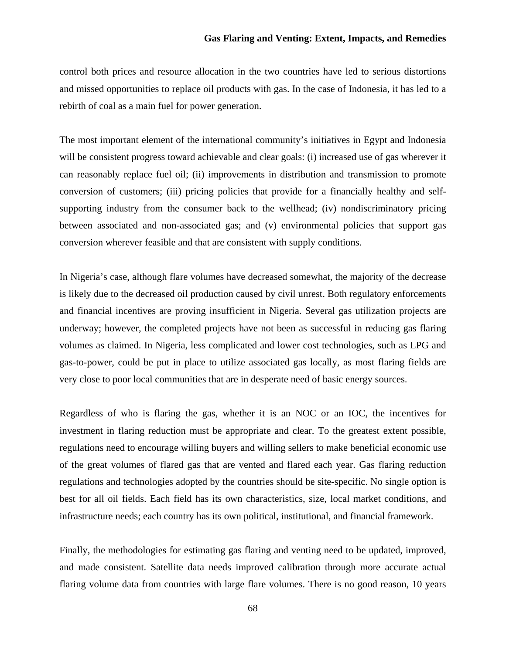control both prices and resource allocation in the two countries have led to serious distortions and missed opportunities to replace oil products with gas. In the case of Indonesia, it has led to a rebirth of coal as a main fuel for power generation.

The most important element of the international community's initiatives in Egypt and Indonesia will be consistent progress toward achievable and clear goals: (i) increased use of gas wherever it can reasonably replace fuel oil; (ii) improvements in distribution and transmission to promote conversion of customers; (iii) pricing policies that provide for a financially healthy and selfsupporting industry from the consumer back to the wellhead; (iv) nondiscriminatory pricing between associated and non-associated gas; and (v) environmental policies that support gas conversion wherever feasible and that are consistent with supply conditions.

In Nigeria's case, although flare volumes have decreased somewhat, the majority of the decrease is likely due to the decreased oil production caused by civil unrest. Both regulatory enforcements and financial incentives are proving insufficient in Nigeria. Several gas utilization projects are underway; however, the completed projects have not been as successful in reducing gas flaring volumes as claimed. In Nigeria, less complicated and lower cost technologies, such as LPG and gas-to-power, could be put in place to utilize associated gas locally, as most flaring fields are very close to poor local communities that are in desperate need of basic energy sources.

Regardless of who is flaring the gas, whether it is an NOC or an IOC, the incentives for investment in flaring reduction must be appropriate and clear. To the greatest extent possible, regulations need to encourage willing buyers and willing sellers to make beneficial economic use of the great volumes of flared gas that are vented and flared each year. Gas flaring reduction regulations and technologies adopted by the countries should be site-specific. No single option is best for all oil fields. Each field has its own characteristics, size, local market conditions, and infrastructure needs; each country has its own political, institutional, and financial framework.

Finally, the methodologies for estimating gas flaring and venting need to be updated, improved, and made consistent. Satellite data needs improved calibration through more accurate actual flaring volume data from countries with large flare volumes. There is no good reason, 10 years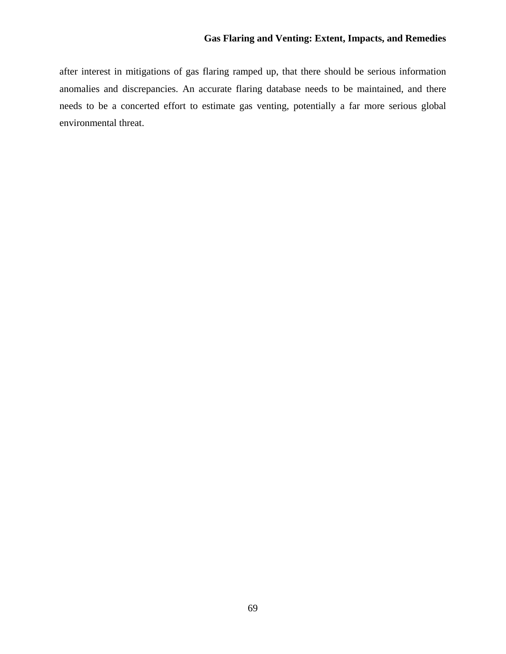after interest in mitigations of gas flaring ramped up, that there should be serious information anomalies and discrepancies. An accurate flaring database needs to be maintained, and there needs to be a concerted effort to estimate gas venting, potentially a far more serious global environmental threat.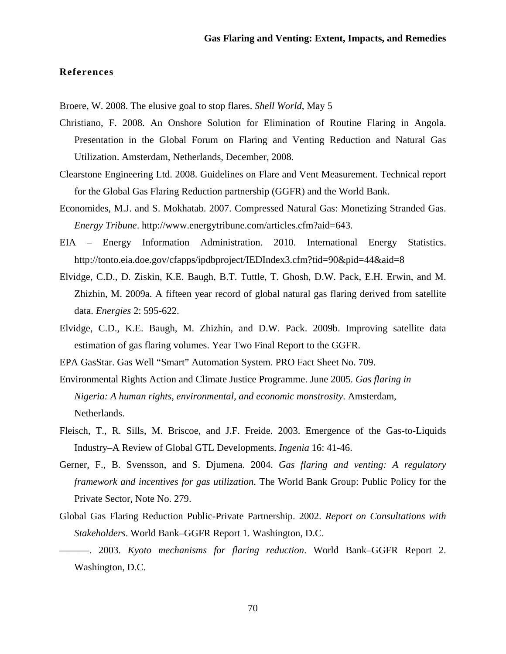#### **References**

Broere, W. 2008. The elusive goal to stop flares. *Shell World*, May 5

- Christiano, F. 2008. An Onshore Solution for Elimination of Routine Flaring in Angola. Presentation in the Global Forum on Flaring and Venting Reduction and Natural Gas Utilization. Amsterdam, Netherlands, December, 2008.
- Clearstone Engineering Ltd. 2008. Guidelines on Flare and Vent Measurement. Technical report for the Global Gas Flaring Reduction partnership (GGFR) and the World Bank.
- Economides, M.J. and S. Mokhatab. 2007. Compressed Natural Gas: Monetizing Stranded Gas. *Energy Tribune*. http://www.energytribune.com/articles.cfm?aid=643.
- EIA Energy Information Administration. 2010. International Energy Statistics. http://tonto.eia.doe.gov/cfapps/ipdbproject/IEDIndex3.cfm?tid=90&pid=44&aid=8
- Elvidge, C.D., D. Ziskin, K.E. Baugh, B.T. Tuttle, T. Ghosh, D.W. Pack, E.H. Erwin, and M. Zhizhin, M. 2009a. A fifteen year record of global natural gas flaring derived from satellite data. *Energies* 2: 595-622.
- Elvidge, C.D., K.E. Baugh, M. Zhizhin, and D.W. Pack. 2009b. Improving satellite data estimation of gas flaring volumes. Year Two Final Report to the GGFR.

EPA GasStar. Gas Well "Smart" Automation System. PRO Fact Sheet No. 709.

- Environmental Rights Action and Climate Justice Programme. June 2005. *Gas flaring in Nigeria: A human rights, environmental, and economic monstrosity*. Amsterdam, Netherlands.
- Fleisch, T., R. Sills, M. Briscoe, and J.F. Freide. 2003. Emergence of the Gas-to-Liquids Industry–A Review of Global GTL Developments. *Ingenia* 16: 41-46.
- Gerner, F., B. Svensson, and S. Djumena. 2004. *Gas flaring and venting: A regulatory framework and incentives for gas utilization*. The World Bank Group: Public Policy for the Private Sector, Note No. 279.
- Global Gas Flaring Reduction Public-Private Partnership. 2002. *Report on Consultations with Stakeholders*. World Bank–GGFR Report 1. Washington, D.C.
- ———. 2003. *Kyoto mechanisms for flaring reduction*. World Bank–GGFR Report 2. Washington, D.C.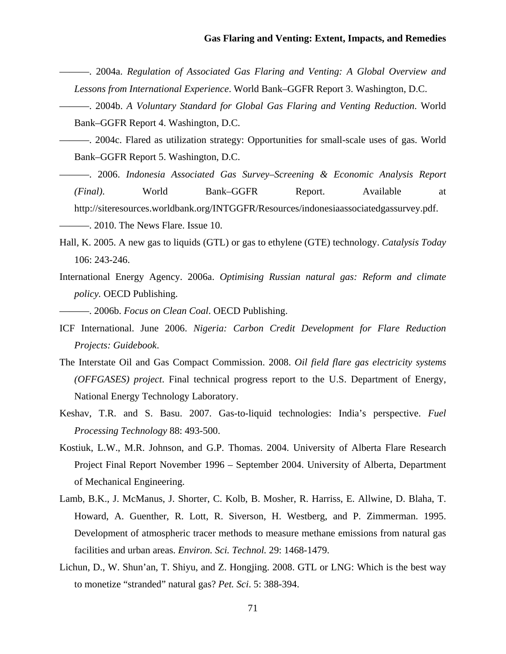- ———. 2004a. *Regulation of Associated Gas Flaring and Venting: A Global Overview and Lessons from International Experience*. World Bank–GGFR Report 3. Washington, D.C.
- ———. 2004b. *A Voluntary Standard for Global Gas Flaring and Venting Reduction*. World Bank–GGFR Report 4. Washington, D.C.
- ———. 2004c. Flared as utilization strategy: Opportunities for small-scale uses of gas. World Bank–GGFR Report 5. Washington, D.C.
- ———. 2006. *Indonesia Associated Gas Survey–Screening & Economic Analysis Report (Final)*. World Bank–GGFR Report. Available at http://siteresources.worldbank.org/INTGGFR/Resources/indonesiaassociatedgassurvey.pdf. ———. 2010. The News Flare. Issue 10.
- Hall, K. 2005. A new gas to liquids (GTL) or gas to ethylene (GTE) technology. *Catalysis Today* 106: 243-246.
- International Energy Agency. 2006a. *Optimising Russian natural gas: Reform and climate policy.* OECD Publishing.

———. 2006b. *Focus on Clean Coal*. OECD Publishing.

- ICF International. June 2006. *Nigeria: Carbon Credit Development for Flare Reduction Projects: Guidebook*.
- The Interstate Oil and Gas Compact Commission. 2008. *Oil field flare gas electricity systems (OFFGASES) project*. Final technical progress report to the U.S. Department of Energy, National Energy Technology Laboratory.
- Keshav, T.R. and S. Basu. 2007. Gas-to-liquid technologies: India's perspective. *Fuel Processing Technology* 88: 493-500.
- Kostiuk, L.W., M.R. Johnson, and G.P. Thomas. 2004. University of Alberta Flare Research Project Final Report November 1996 – September 2004. University of Alberta, Department of Mechanical Engineering.
- Lamb, B.K., J. McManus, J. Shorter, C. Kolb, B. Mosher, R. Harriss, E. Allwine, D. Blaha, T. Howard, A. Guenther, R. Lott, R. Siverson, H. Westberg, and P. Zimmerman. 1995. Development of atmospheric tracer methods to measure methane emissions from natural gas facilities and urban areas. *Environ. Sci. Technol.* 29: 1468-1479.
- Lichun, D., W. Shun'an, T. Shiyu, and Z. Hongjing. 2008. GTL or LNG: Which is the best way to monetize "stranded" natural gas? *Pet. Sci*. 5: 388-394.